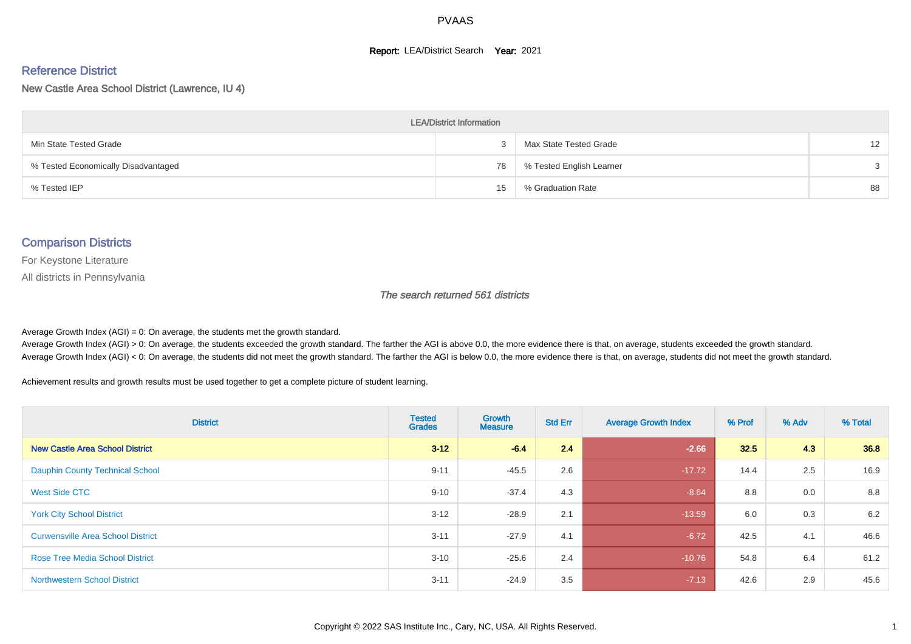#### **Report: LEA/District Search Year: 2021**

#### Reference District

New Castle Area School District (Lawrence, IU 4)

| <b>LEA/District Information</b>     |    |                          |                   |  |  |  |  |  |  |
|-------------------------------------|----|--------------------------|-------------------|--|--|--|--|--|--|
| Min State Tested Grade              |    | Max State Tested Grade   | $12 \overline{ }$ |  |  |  |  |  |  |
| % Tested Economically Disadvantaged | 78 | % Tested English Learner | 3                 |  |  |  |  |  |  |
| % Tested IEP                        | 15 | % Graduation Rate        | 88                |  |  |  |  |  |  |

#### Comparison Districts

For Keystone Literature

All districts in Pennsylvania

The search returned 561 districts

Average Growth Index  $(AGI) = 0$ : On average, the students met the growth standard.

Average Growth Index (AGI) > 0: On average, the students exceeded the growth standard. The farther the AGI is above 0.0, the more evidence there is that, on average, students exceeded the growth standard. Average Growth Index (AGI) < 0: On average, the students did not meet the growth standard. The farther the AGI is below 0.0, the more evidence there is that, on average, students did not meet the growth standard.

Achievement results and growth results must be used together to get a complete picture of student learning.

| <b>District</b>                          | <b>Tested</b><br><b>Grades</b> | <b>Growth</b><br><b>Measure</b> | <b>Std Err</b> | <b>Average Growth Index</b> | % Prof | % Adv | % Total |
|------------------------------------------|--------------------------------|---------------------------------|----------------|-----------------------------|--------|-------|---------|
| <b>New Castle Area School District</b>   | $3 - 12$                       | $-6.4$                          | 2.4            | $-2.66$                     | 32.5   | 4.3   | 36.8    |
| <b>Dauphin County Technical School</b>   | $9 - 11$                       | $-45.5$                         | 2.6            | $-17.72$                    | 14.4   | 2.5   | 16.9    |
| West Side CTC                            | $9 - 10$                       | $-37.4$                         | 4.3            | $-8.64$                     | 8.8    | 0.0   | 8.8     |
| <b>York City School District</b>         | $3 - 12$                       | $-28.9$                         | 2.1            | $-13.59$                    | 6.0    | 0.3   | 6.2     |
| <b>Curwensville Area School District</b> | $3 - 11$                       | $-27.9$                         | 4.1            | $-6.72$                     | 42.5   | 4.1   | 46.6    |
| <b>Rose Tree Media School District</b>   | $3 - 10$                       | $-25.6$                         | 2.4            | $-10.76$                    | 54.8   | 6.4   | 61.2    |
| <b>Northwestern School District</b>      | $3 - 11$                       | $-24.9$                         | 3.5            | $-7.13$                     | 42.6   | 2.9   | 45.6    |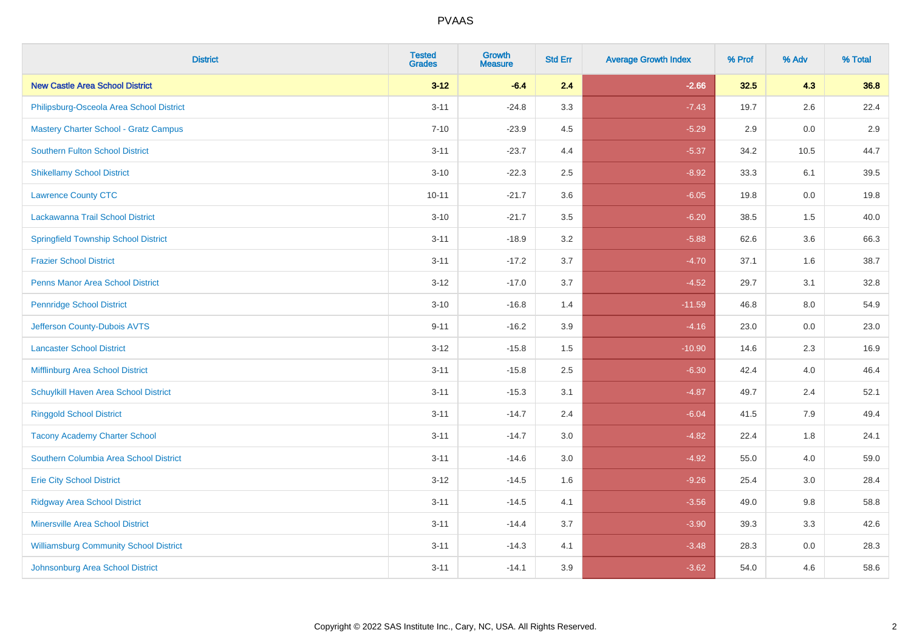| <b>District</b>                               | <b>Tested</b><br><b>Grades</b> | <b>Growth</b><br><b>Measure</b> | <b>Std Err</b> | <b>Average Growth Index</b> | % Prof | % Adv | % Total |
|-----------------------------------------------|--------------------------------|---------------------------------|----------------|-----------------------------|--------|-------|---------|
| <b>New Castle Area School District</b>        | $3 - 12$                       | $-6.4$                          | 2.4            | $-2.66$                     | 32.5   | 4.3   | 36.8    |
| Philipsburg-Osceola Area School District      | $3 - 11$                       | $-24.8$                         | 3.3            | $-7.43$                     | 19.7   | 2.6   | 22.4    |
| <b>Mastery Charter School - Gratz Campus</b>  | $7 - 10$                       | $-23.9$                         | 4.5            | $-5.29$                     | 2.9    | 0.0   | 2.9     |
| <b>Southern Fulton School District</b>        | $3 - 11$                       | $-23.7$                         | 4.4            | $-5.37$                     | 34.2   | 10.5  | 44.7    |
| <b>Shikellamy School District</b>             | $3 - 10$                       | $-22.3$                         | 2.5            | $-8.92$                     | 33.3   | 6.1   | 39.5    |
| <b>Lawrence County CTC</b>                    | $10 - 11$                      | $-21.7$                         | 3.6            | $-6.05$                     | 19.8   | 0.0   | 19.8    |
| Lackawanna Trail School District              | $3 - 10$                       | $-21.7$                         | 3.5            | $-6.20$                     | 38.5   | 1.5   | 40.0    |
| <b>Springfield Township School District</b>   | $3 - 11$                       | $-18.9$                         | 3.2            | $-5.88$                     | 62.6   | 3.6   | 66.3    |
| <b>Frazier School District</b>                | $3 - 11$                       | $-17.2$                         | 3.7            | $-4.70$                     | 37.1   | 1.6   | 38.7    |
| <b>Penns Manor Area School District</b>       | $3 - 12$                       | $-17.0$                         | 3.7            | $-4.52$                     | 29.7   | 3.1   | 32.8    |
| <b>Pennridge School District</b>              | $3 - 10$                       | $-16.8$                         | 1.4            | $-11.59$                    | 46.8   | 8.0   | 54.9    |
| Jefferson County-Dubois AVTS                  | $9 - 11$                       | $-16.2$                         | 3.9            | $-4.16$                     | 23.0   | 0.0   | 23.0    |
| <b>Lancaster School District</b>              | $3 - 12$                       | $-15.8$                         | $1.5\,$        | $-10.90$                    | 14.6   | 2.3   | 16.9    |
| Mifflinburg Area School District              | $3 - 11$                       | $-15.8$                         | 2.5            | $-6.30$                     | 42.4   | 4.0   | 46.4    |
| Schuylkill Haven Area School District         | $3 - 11$                       | $-15.3$                         | 3.1            | $-4.87$                     | 49.7   | 2.4   | 52.1    |
| <b>Ringgold School District</b>               | $3 - 11$                       | $-14.7$                         | 2.4            | $-6.04$                     | 41.5   | 7.9   | 49.4    |
| <b>Tacony Academy Charter School</b>          | $3 - 11$                       | $-14.7$                         | 3.0            | $-4.82$                     | 22.4   | 1.8   | 24.1    |
| Southern Columbia Area School District        | $3 - 11$                       | $-14.6$                         | 3.0            | $-4.92$                     | 55.0   | 4.0   | 59.0    |
| <b>Erie City School District</b>              | $3 - 12$                       | $-14.5$                         | 1.6            | $-9.26$                     | 25.4   | 3.0   | 28.4    |
| <b>Ridgway Area School District</b>           | $3 - 11$                       | $-14.5$                         | 4.1            | $-3.56$                     | 49.0   | 9.8   | 58.8    |
| <b>Minersville Area School District</b>       | $3 - 11$                       | $-14.4$                         | 3.7            | $-3.90$                     | 39.3   | 3.3   | 42.6    |
| <b>Williamsburg Community School District</b> | $3 - 11$                       | $-14.3$                         | 4.1            | $-3.48$                     | 28.3   | 0.0   | 28.3    |
| Johnsonburg Area School District              | $3 - 11$                       | $-14.1$                         | 3.9            | $-3.62$                     | 54.0   | 4.6   | 58.6    |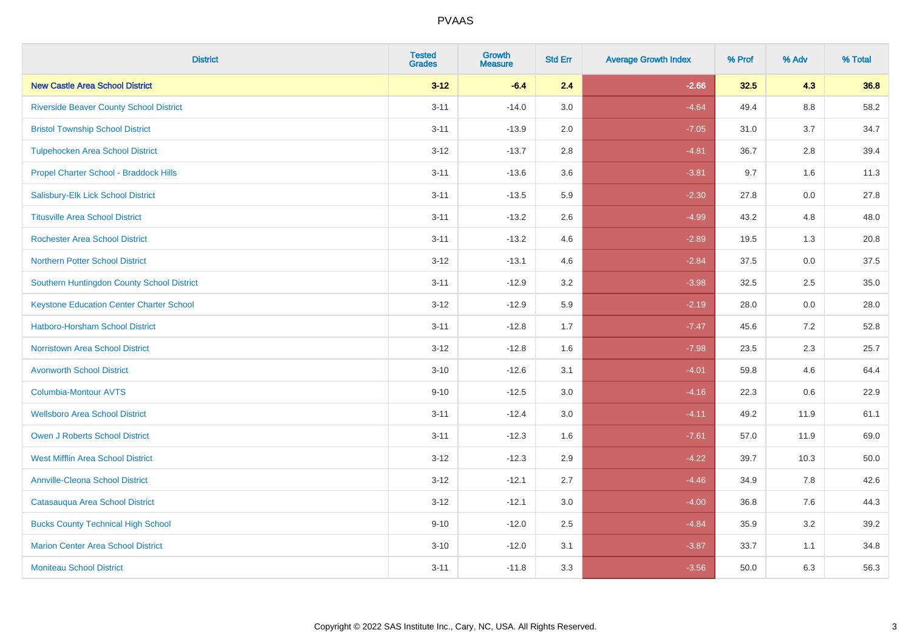| <b>District</b>                                 | <b>Tested</b><br><b>Grades</b> | <b>Growth</b><br><b>Measure</b> | <b>Std Err</b> | <b>Average Growth Index</b> | % Prof | % Adv   | % Total |
|-------------------------------------------------|--------------------------------|---------------------------------|----------------|-----------------------------|--------|---------|---------|
| <b>New Castle Area School District</b>          | $3 - 12$                       | $-6.4$                          | 2.4            | $-2.66$                     | 32.5   | 4.3     | 36.8    |
| <b>Riverside Beaver County School District</b>  | $3 - 11$                       | $-14.0$                         | 3.0            | $-4.64$                     | 49.4   | $8.8\,$ | 58.2    |
| <b>Bristol Township School District</b>         | $3 - 11$                       | $-13.9$                         | 2.0            | $-7.05$                     | 31.0   | 3.7     | 34.7    |
| <b>Tulpehocken Area School District</b>         | $3 - 12$                       | $-13.7$                         | 2.8            | $-4.81$                     | 36.7   | 2.8     | 39.4    |
| Propel Charter School - Braddock Hills          | $3 - 11$                       | $-13.6$                         | 3.6            | $-3.81$                     | 9.7    | 1.6     | 11.3    |
| Salisbury-Elk Lick School District              | $3 - 11$                       | $-13.5$                         | 5.9            | $-2.30$                     | 27.8   | 0.0     | 27.8    |
| <b>Titusville Area School District</b>          | $3 - 11$                       | $-13.2$                         | 2.6            | $-4.99$                     | 43.2   | 4.8     | 48.0    |
| <b>Rochester Area School District</b>           | $3 - 11$                       | $-13.2$                         | 4.6            | $-2.89$                     | 19.5   | 1.3     | 20.8    |
| <b>Northern Potter School District</b>          | $3 - 12$                       | $-13.1$                         | 4.6            | $-2.84$                     | 37.5   | 0.0     | 37.5    |
| Southern Huntingdon County School District      | $3 - 11$                       | $-12.9$                         | 3.2            | $-3.98$                     | 32.5   | $2.5\,$ | 35.0    |
| <b>Keystone Education Center Charter School</b> | $3 - 12$                       | $-12.9$                         | 5.9            | $-2.19$                     | 28.0   | 0.0     | 28.0    |
| <b>Hatboro-Horsham School District</b>          | $3 - 11$                       | $-12.8$                         | 1.7            | $-7.47$                     | 45.6   | 7.2     | 52.8    |
| <b>Norristown Area School District</b>          | $3 - 12$                       | $-12.8$                         | 1.6            | $-7.98$                     | 23.5   | 2.3     | 25.7    |
| <b>Avonworth School District</b>                | $3 - 10$                       | $-12.6$                         | 3.1            | $-4.01$                     | 59.8   | 4.6     | 64.4    |
| Columbia-Montour AVTS                           | $9 - 10$                       | $-12.5$                         | 3.0            | $-4.16$                     | 22.3   | 0.6     | 22.9    |
| <b>Wellsboro Area School District</b>           | $3 - 11$                       | $-12.4$                         | 3.0            | $-4.11$                     | 49.2   | 11.9    | 61.1    |
| <b>Owen J Roberts School District</b>           | $3 - 11$                       | $-12.3$                         | 1.6            | $-7.61$                     | 57.0   | 11.9    | 69.0    |
| <b>West Mifflin Area School District</b>        | $3 - 12$                       | $-12.3$                         | 2.9            | $-4.22$                     | 39.7   | 10.3    | 50.0    |
| <b>Annville-Cleona School District</b>          | $3 - 12$                       | $-12.1$                         | 2.7            | $-4.46$                     | 34.9   | 7.8     | 42.6    |
| Catasauqua Area School District                 | $3 - 12$                       | $-12.1$                         | 3.0            | $-4.00$                     | 36.8   | 7.6     | 44.3    |
| <b>Bucks County Technical High School</b>       | $9 - 10$                       | $-12.0$                         | 2.5            | $-4.84$                     | 35.9   | 3.2     | 39.2    |
| <b>Marion Center Area School District</b>       | $3 - 10$                       | $-12.0$                         | 3.1            | $-3.87$                     | 33.7   | 1.1     | 34.8    |
| <b>Moniteau School District</b>                 | $3 - 11$                       | $-11.8$                         | 3.3            | $-3.56$                     | 50.0   | 6.3     | 56.3    |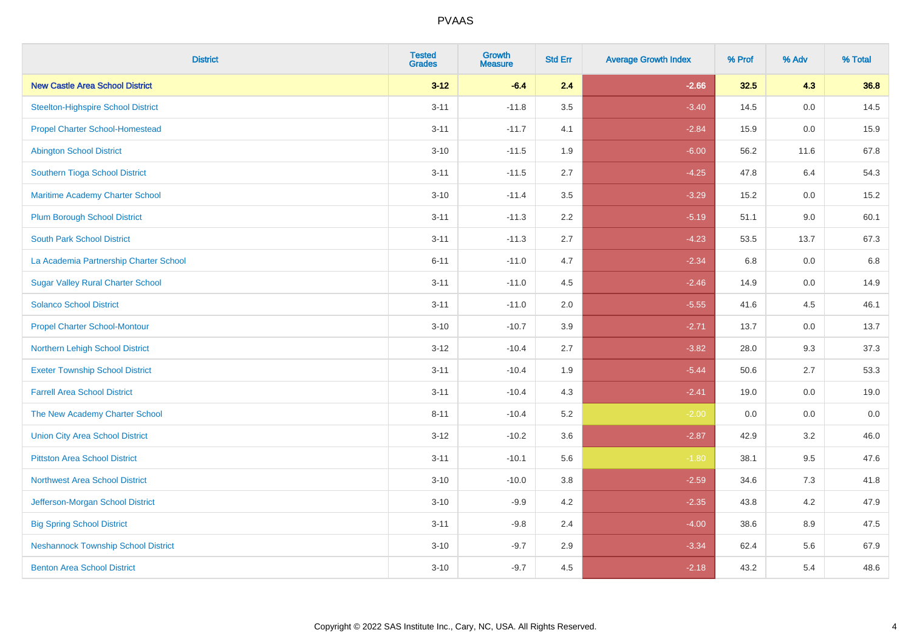| <b>District</b>                            | <b>Tested</b><br><b>Grades</b> | <b>Growth</b><br><b>Measure</b> | <b>Std Err</b> | <b>Average Growth Index</b> | % Prof | % Adv | % Total |
|--------------------------------------------|--------------------------------|---------------------------------|----------------|-----------------------------|--------|-------|---------|
| <b>New Castle Area School District</b>     | $3 - 12$                       | $-6.4$                          | 2.4            | $-2.66$                     | 32.5   | 4.3   | 36.8    |
| <b>Steelton-Highspire School District</b>  | $3 - 11$                       | $-11.8$                         | 3.5            | $-3.40$                     | 14.5   | 0.0   | 14.5    |
| <b>Propel Charter School-Homestead</b>     | $3 - 11$                       | $-11.7$                         | 4.1            | $-2.84$                     | 15.9   | 0.0   | 15.9    |
| <b>Abington School District</b>            | $3 - 10$                       | $-11.5$                         | 1.9            | $-6.00$                     | 56.2   | 11.6  | 67.8    |
| Southern Tioga School District             | $3 - 11$                       | $-11.5$                         | 2.7            | $-4.25$                     | 47.8   | 6.4   | 54.3    |
| Maritime Academy Charter School            | $3 - 10$                       | $-11.4$                         | 3.5            | $-3.29$                     | 15.2   | 0.0   | 15.2    |
| <b>Plum Borough School District</b>        | $3 - 11$                       | $-11.3$                         | 2.2            | $-5.19$                     | 51.1   | 9.0   | 60.1    |
| <b>South Park School District</b>          | $3 - 11$                       | $-11.3$                         | 2.7            | $-4.23$                     | 53.5   | 13.7  | 67.3    |
| La Academia Partnership Charter School     | $6 - 11$                       | $-11.0$                         | 4.7            | $-2.34$                     | 6.8    | 0.0   | 6.8     |
| <b>Sugar Valley Rural Charter School</b>   | $3 - 11$                       | $-11.0$                         | 4.5            | $-2.46$                     | 14.9   | 0.0   | 14.9    |
| <b>Solanco School District</b>             | $3 - 11$                       | $-11.0$                         | 2.0            | $-5.55$                     | 41.6   | 4.5   | 46.1    |
| <b>Propel Charter School-Montour</b>       | $3 - 10$                       | $-10.7$                         | 3.9            | $-2.71$                     | 13.7   | 0.0   | 13.7    |
| Northern Lehigh School District            | $3 - 12$                       | $-10.4$                         | 2.7            | $-3.82$                     | 28.0   | 9.3   | 37.3    |
| <b>Exeter Township School District</b>     | $3 - 11$                       | $-10.4$                         | 1.9            | $-5.44$                     | 50.6   | 2.7   | 53.3    |
| <b>Farrell Area School District</b>        | $3 - 11$                       | $-10.4$                         | 4.3            | $-2.41$                     | 19.0   | 0.0   | 19.0    |
| The New Academy Charter School             | $8 - 11$                       | $-10.4$                         | 5.2            | $-2.00$                     | 0.0    | 0.0   | $0.0\,$ |
| <b>Union City Area School District</b>     | $3 - 12$                       | $-10.2$                         | 3.6            | $-2.87$                     | 42.9   | 3.2   | 46.0    |
| <b>Pittston Area School District</b>       | $3 - 11$                       | $-10.1$                         | 5.6            | $-1.80$                     | 38.1   | 9.5   | 47.6    |
| <b>Northwest Area School District</b>      | $3 - 10$                       | $-10.0$                         | 3.8            | $-2.59$                     | 34.6   | 7.3   | 41.8    |
| Jefferson-Morgan School District           | $3 - 10$                       | $-9.9$                          | 4.2            | $-2.35$                     | 43.8   | 4.2   | 47.9    |
| <b>Big Spring School District</b>          | $3 - 11$                       | $-9.8$                          | 2.4            | $-4.00$                     | 38.6   | 8.9   | 47.5    |
| <b>Neshannock Township School District</b> | $3 - 10$                       | $-9.7$                          | 2.9            | $-3.34$                     | 62.4   | 5.6   | 67.9    |
| <b>Benton Area School District</b>         | $3 - 10$                       | $-9.7$                          | 4.5            | $-2.18$                     | 43.2   | 5.4   | 48.6    |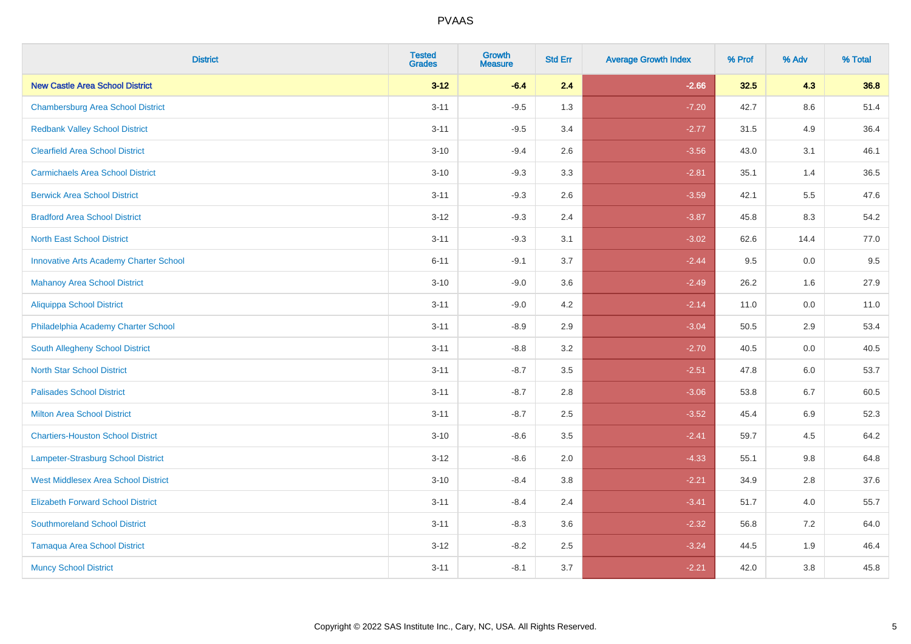| <b>District</b>                               | <b>Tested</b><br><b>Grades</b> | <b>Growth</b><br><b>Measure</b> | <b>Std Err</b> | <b>Average Growth Index</b> | % Prof | % Adv   | % Total |
|-----------------------------------------------|--------------------------------|---------------------------------|----------------|-----------------------------|--------|---------|---------|
| <b>New Castle Area School District</b>        | $3 - 12$                       | $-6.4$                          | 2.4            | $-2.66$                     | 32.5   | 4.3     | 36.8    |
| <b>Chambersburg Area School District</b>      | $3 - 11$                       | $-9.5$                          | 1.3            | $-7.20$                     | 42.7   | $8.6\,$ | 51.4    |
| <b>Redbank Valley School District</b>         | $3 - 11$                       | $-9.5$                          | 3.4            | $-2.77$                     | 31.5   | 4.9     | 36.4    |
| <b>Clearfield Area School District</b>        | $3 - 10$                       | $-9.4$                          | 2.6            | $-3.56$                     | 43.0   | 3.1     | 46.1    |
| <b>Carmichaels Area School District</b>       | $3 - 10$                       | $-9.3$                          | 3.3            | $-2.81$                     | 35.1   | 1.4     | 36.5    |
| <b>Berwick Area School District</b>           | $3 - 11$                       | $-9.3$                          | 2.6            | $-3.59$                     | 42.1   | 5.5     | 47.6    |
| <b>Bradford Area School District</b>          | $3 - 12$                       | $-9.3$                          | 2.4            | $-3.87$                     | 45.8   | 8.3     | 54.2    |
| <b>North East School District</b>             | $3 - 11$                       | $-9.3$                          | 3.1            | $-3.02$                     | 62.6   | 14.4    | 77.0    |
| <b>Innovative Arts Academy Charter School</b> | $6 - 11$                       | $-9.1$                          | 3.7            | $-2.44$                     | 9.5    | 0.0     | 9.5     |
| <b>Mahanoy Area School District</b>           | $3 - 10$                       | $-9.0$                          | 3.6            | $-2.49$                     | 26.2   | 1.6     | 27.9    |
| Aliquippa School District                     | $3 - 11$                       | $-9.0$                          | 4.2            | $-2.14$                     | 11.0   | 0.0     | 11.0    |
| Philadelphia Academy Charter School           | $3 - 11$                       | $-8.9$                          | 2.9            | $-3.04$                     | 50.5   | 2.9     | 53.4    |
| South Allegheny School District               | $3 - 11$                       | $-8.8$                          | 3.2            | $-2.70$                     | 40.5   | 0.0     | 40.5    |
| <b>North Star School District</b>             | $3 - 11$                       | $-8.7$                          | 3.5            | $-2.51$                     | 47.8   | 6.0     | 53.7    |
| <b>Palisades School District</b>              | $3 - 11$                       | $-8.7$                          | 2.8            | $-3.06$                     | 53.8   | 6.7     | 60.5    |
| <b>Milton Area School District</b>            | $3 - 11$                       | $-8.7$                          | 2.5            | $-3.52$                     | 45.4   | $6.9\,$ | 52.3    |
| <b>Chartiers-Houston School District</b>      | $3 - 10$                       | $-8.6$                          | 3.5            | $-2.41$                     | 59.7   | 4.5     | 64.2    |
| Lampeter-Strasburg School District            | $3 - 12$                       | $-8.6$                          | 2.0            | $-4.33$                     | 55.1   | 9.8     | 64.8    |
| <b>West Middlesex Area School District</b>    | $3 - 10$                       | $-8.4$                          | 3.8            | $-2.21$                     | 34.9   | 2.8     | 37.6    |
| <b>Elizabeth Forward School District</b>      | $3 - 11$                       | $-8.4$                          | 2.4            | $-3.41$                     | 51.7   | 4.0     | 55.7    |
| <b>Southmoreland School District</b>          | $3 - 11$                       | $-8.3$                          | 3.6            | $-2.32$                     | 56.8   | 7.2     | 64.0    |
| <b>Tamaqua Area School District</b>           | $3 - 12$                       | $-8.2$                          | 2.5            | $-3.24$                     | 44.5   | 1.9     | 46.4    |
| <b>Muncy School District</b>                  | $3 - 11$                       | $-8.1$                          | 3.7            | $-2.21$                     | 42.0   | 3.8     | 45.8    |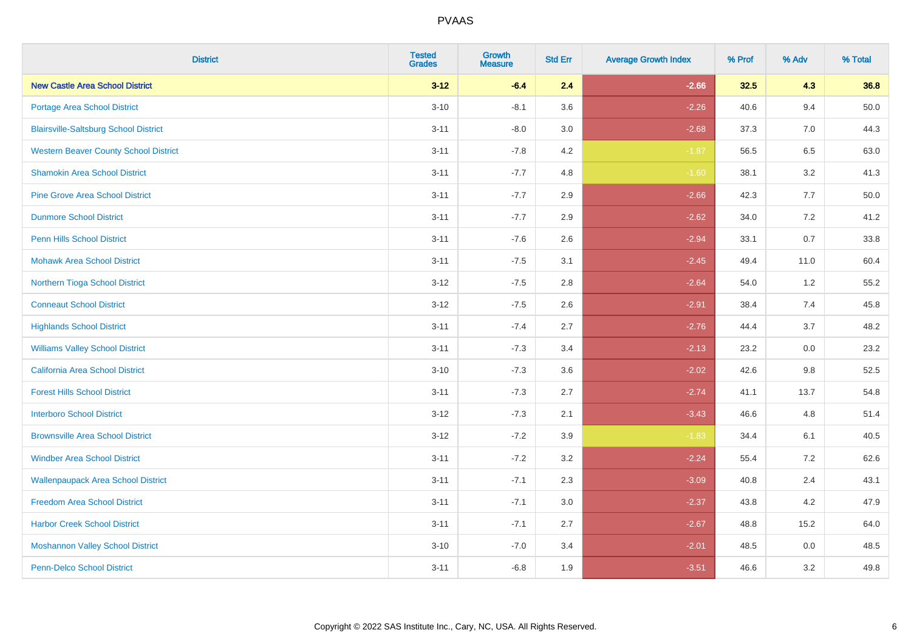| <b>District</b>                              | <b>Tested</b><br><b>Grades</b> | <b>Growth</b><br><b>Measure</b> | <b>Std Err</b> | <b>Average Growth Index</b> | % Prof | % Adv   | % Total  |
|----------------------------------------------|--------------------------------|---------------------------------|----------------|-----------------------------|--------|---------|----------|
| <b>New Castle Area School District</b>       | $3 - 12$                       | $-6.4$                          | 2.4            | $-2.66$                     | 32.5   | 4.3     | 36.8     |
| Portage Area School District                 | $3 - 10$                       | $-8.1$                          | 3.6            | $-2.26$                     | 40.6   | 9.4     | $50.0\,$ |
| <b>Blairsville-Saltsburg School District</b> | $3 - 11$                       | $-8.0$                          | 3.0            | $-2.68$                     | 37.3   | 7.0     | 44.3     |
| <b>Western Beaver County School District</b> | $3 - 11$                       | $-7.8$                          | 4.2            | $-1.87$                     | 56.5   | 6.5     | 63.0     |
| <b>Shamokin Area School District</b>         | $3 - 11$                       | $-7.7$                          | 4.8            | $-1.60$                     | 38.1   | 3.2     | 41.3     |
| <b>Pine Grove Area School District</b>       | $3 - 11$                       | $-7.7$                          | 2.9            | $-2.66$                     | 42.3   | 7.7     | 50.0     |
| <b>Dunmore School District</b>               | $3 - 11$                       | $-7.7$                          | 2.9            | $-2.62$                     | 34.0   | 7.2     | 41.2     |
| <b>Penn Hills School District</b>            | $3 - 11$                       | $-7.6$                          | 2.6            | $-2.94$                     | 33.1   | 0.7     | 33.8     |
| <b>Mohawk Area School District</b>           | $3 - 11$                       | $-7.5$                          | 3.1            | $-2.45$                     | 49.4   | 11.0    | 60.4     |
| Northern Tioga School District               | $3 - 12$                       | $-7.5$                          | 2.8            | $-2.64$                     | 54.0   | 1.2     | 55.2     |
| <b>Conneaut School District</b>              | $3 - 12$                       | $-7.5$                          | 2.6            | $-2.91$                     | 38.4   | 7.4     | 45.8     |
| <b>Highlands School District</b>             | $3 - 11$                       | $-7.4$                          | 2.7            | $-2.76$                     | 44.4   | 3.7     | 48.2     |
| <b>Williams Valley School District</b>       | $3 - 11$                       | $-7.3$                          | 3.4            | $-2.13$                     | 23.2   | 0.0     | 23.2     |
| <b>California Area School District</b>       | $3 - 10$                       | $-7.3$                          | 3.6            | $-2.02$                     | 42.6   | 9.8     | 52.5     |
| <b>Forest Hills School District</b>          | $3 - 11$                       | $-7.3$                          | 2.7            | $-2.74$                     | 41.1   | 13.7    | 54.8     |
| <b>Interboro School District</b>             | $3 - 12$                       | $-7.3$                          | 2.1            | $-3.43$                     | 46.6   | 4.8     | 51.4     |
| <b>Brownsville Area School District</b>      | $3 - 12$                       | $-7.2$                          | 3.9            | $-1.83$                     | 34.4   | 6.1     | 40.5     |
| <b>Windber Area School District</b>          | $3 - 11$                       | $-7.2$                          | 3.2            | $-2.24$                     | 55.4   | 7.2     | 62.6     |
| <b>Wallenpaupack Area School District</b>    | $3 - 11$                       | $-7.1$                          | 2.3            | $-3.09$                     | 40.8   | 2.4     | 43.1     |
| <b>Freedom Area School District</b>          | $3 - 11$                       | $-7.1$                          | 3.0            | $-2.37$                     | 43.8   | 4.2     | 47.9     |
| <b>Harbor Creek School District</b>          | $3 - 11$                       | $-7.1$                          | 2.7            | $-2.67$                     | 48.8   | 15.2    | 64.0     |
| <b>Moshannon Valley School District</b>      | $3 - 10$                       | $-7.0$                          | 3.4            | $-2.01$                     | 48.5   | $0.0\,$ | 48.5     |
| <b>Penn-Delco School District</b>            | $3 - 11$                       | $-6.8$                          | 1.9            | $-3.51$                     | 46.6   | 3.2     | 49.8     |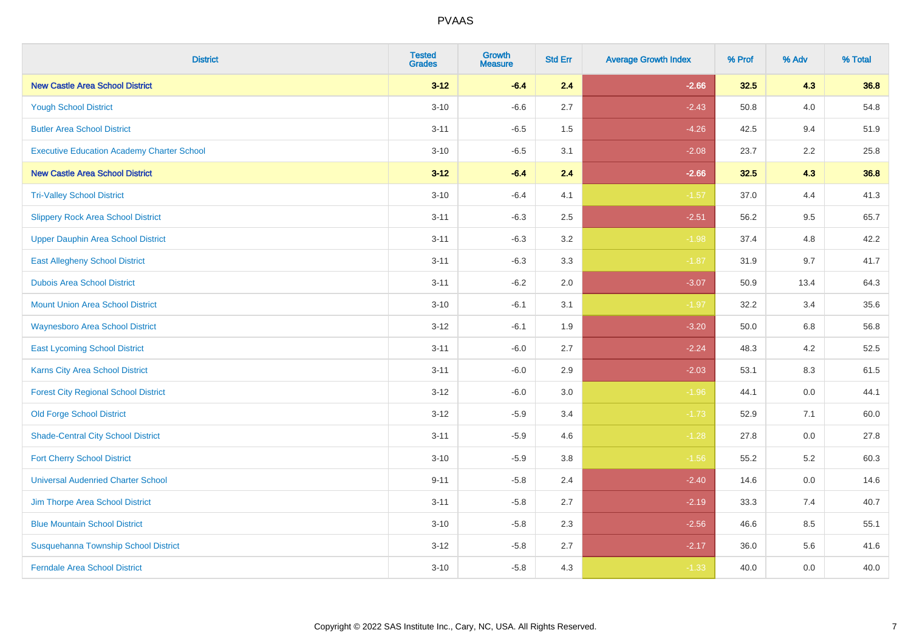| <b>District</b>                                   | <b>Tested</b><br><b>Grades</b> | <b>Growth</b><br><b>Measure</b> | <b>Std Err</b> | <b>Average Growth Index</b> | % Prof | % Adv   | % Total |
|---------------------------------------------------|--------------------------------|---------------------------------|----------------|-----------------------------|--------|---------|---------|
| <b>New Castle Area School District</b>            | $3 - 12$                       | $-6.4$                          | 2.4            | $-2.66$                     | 32.5   | 4.3     | 36.8    |
| <b>Yough School District</b>                      | $3 - 10$                       | $-6.6$                          | 2.7            | $-2.43$                     | 50.8   | 4.0     | 54.8    |
| <b>Butler Area School District</b>                | $3 - 11$                       | $-6.5$                          | 1.5            | $-4.26$                     | 42.5   | 9.4     | 51.9    |
| <b>Executive Education Academy Charter School</b> | $3 - 10$                       | $-6.5$                          | 3.1            | $-2.08$                     | 23.7   | $2.2\,$ | 25.8    |
| <b>New Castle Area School District</b>            | $3 - 12$                       | $-6.4$                          | 2.4            | $-2.66$                     | 32.5   | 4.3     | 36.8    |
| <b>Tri-Valley School District</b>                 | $3 - 10$                       | $-6.4$                          | 4.1            | $-1.57$                     | 37.0   | 4.4     | 41.3    |
| <b>Slippery Rock Area School District</b>         | $3 - 11$                       | $-6.3$                          | 2.5            | $-2.51$                     | 56.2   | 9.5     | 65.7    |
| <b>Upper Dauphin Area School District</b>         | $3 - 11$                       | $-6.3$                          | 3.2            | $-1.98$                     | 37.4   | 4.8     | 42.2    |
| <b>East Allegheny School District</b>             | $3 - 11$                       | $-6.3$                          | 3.3            | $-1.87$                     | 31.9   | 9.7     | 41.7    |
| <b>Dubois Area School District</b>                | $3 - 11$                       | $-6.2$                          | 2.0            | $-3.07$                     | 50.9   | 13.4    | 64.3    |
| <b>Mount Union Area School District</b>           | $3 - 10$                       | $-6.1$                          | 3.1            | $-1.97$                     | 32.2   | 3.4     | 35.6    |
| <b>Waynesboro Area School District</b>            | $3 - 12$                       | $-6.1$                          | 1.9            | $-3.20$                     | 50.0   | 6.8     | 56.8    |
| <b>East Lycoming School District</b>              | $3 - 11$                       | $-6.0$                          | 2.7            | $-2.24$                     | 48.3   | 4.2     | 52.5    |
| <b>Karns City Area School District</b>            | $3 - 11$                       | $-6.0$                          | 2.9            | $-2.03$                     | 53.1   | 8.3     | 61.5    |
| <b>Forest City Regional School District</b>       | $3 - 12$                       | $-6.0$                          | 3.0            | $-1.96$                     | 44.1   | 0.0     | 44.1    |
| <b>Old Forge School District</b>                  | $3 - 12$                       | $-5.9$                          | 3.4            | $-1.73$                     | 52.9   | 7.1     | 60.0    |
| <b>Shade-Central City School District</b>         | $3 - 11$                       | $-5.9$                          | 4.6            | $-1.28$                     | 27.8   | 0.0     | 27.8    |
| <b>Fort Cherry School District</b>                | $3 - 10$                       | $-5.9$                          | 3.8            | $-1.56$                     | 55.2   | 5.2     | 60.3    |
| <b>Universal Audenried Charter School</b>         | $9 - 11$                       | $-5.8$                          | 2.4            | $-2.40$                     | 14.6   | 0.0     | 14.6    |
| Jim Thorpe Area School District                   | $3 - 11$                       | $-5.8$                          | 2.7            | $-2.19$                     | 33.3   | 7.4     | 40.7    |
| <b>Blue Mountain School District</b>              | $3 - 10$                       | $-5.8$                          | 2.3            | $-2.56$                     | 46.6   | 8.5     | 55.1    |
| Susquehanna Township School District              | $3 - 12$                       | $-5.8$                          | 2.7            | $-2.17$                     | 36.0   | 5.6     | 41.6    |
| <b>Ferndale Area School District</b>              | $3 - 10$                       | $-5.8$                          | 4.3            | $-1.33$                     | 40.0   | 0.0     | 40.0    |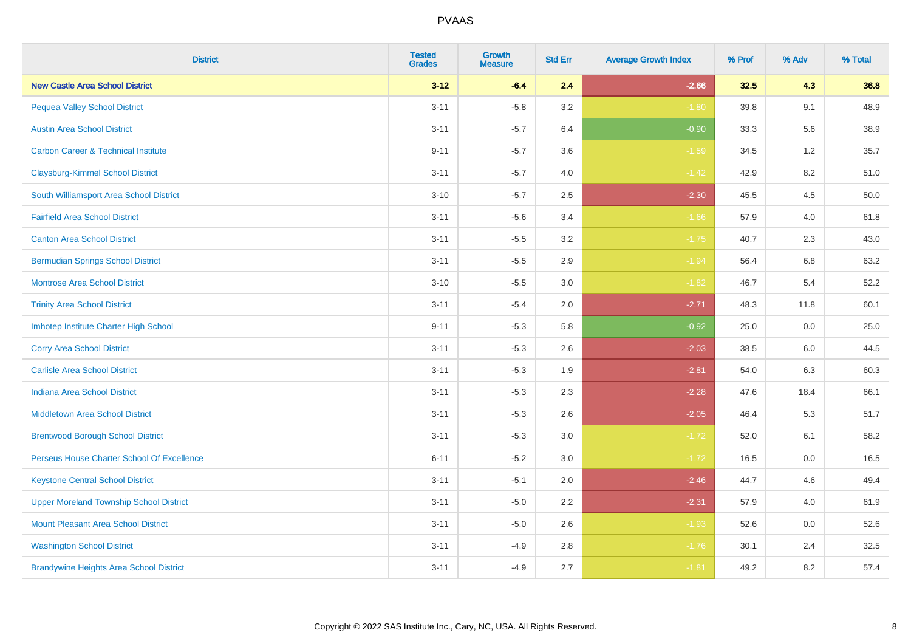| <b>District</b>                                | <b>Tested</b><br><b>Grades</b> | <b>Growth</b><br><b>Measure</b> | <b>Std Err</b> | <b>Average Growth Index</b> | % Prof | % Adv   | % Total |
|------------------------------------------------|--------------------------------|---------------------------------|----------------|-----------------------------|--------|---------|---------|
| <b>New Castle Area School District</b>         | $3 - 12$                       | $-6.4$                          | 2.4            | $-2.66$                     | 32.5   | 4.3     | 36.8    |
| <b>Pequea Valley School District</b>           | $3 - 11$                       | $-5.8$                          | 3.2            | $-1.80$                     | 39.8   | 9.1     | 48.9    |
| <b>Austin Area School District</b>             | $3 - 11$                       | $-5.7$                          | 6.4            | $-0.90$                     | 33.3   | 5.6     | 38.9    |
| <b>Carbon Career &amp; Technical Institute</b> | $9 - 11$                       | $-5.7$                          | 3.6            | $-1.59$                     | 34.5   | $1.2\,$ | 35.7    |
| <b>Claysburg-Kimmel School District</b>        | $3 - 11$                       | $-5.7$                          | 4.0            | $-1.42$                     | 42.9   | 8.2     | 51.0    |
| South Williamsport Area School District        | $3 - 10$                       | $-5.7$                          | 2.5            | $-2.30$                     | 45.5   | 4.5     | 50.0    |
| <b>Fairfield Area School District</b>          | $3 - 11$                       | $-5.6$                          | 3.4            | $-1.66$                     | 57.9   | 4.0     | 61.8    |
| <b>Canton Area School District</b>             | $3 - 11$                       | $-5.5$                          | 3.2            | $-1.75$                     | 40.7   | 2.3     | 43.0    |
| <b>Bermudian Springs School District</b>       | $3 - 11$                       | $-5.5$                          | 2.9            | $-1.94$                     | 56.4   | 6.8     | 63.2    |
| <b>Montrose Area School District</b>           | $3 - 10$                       | $-5.5$                          | 3.0            | $-1.82$                     | 46.7   | 5.4     | 52.2    |
| <b>Trinity Area School District</b>            | $3 - 11$                       | $-5.4$                          | 2.0            | $-2.71$                     | 48.3   | 11.8    | 60.1    |
| Imhotep Institute Charter High School          | $9 - 11$                       | $-5.3$                          | 5.8            | $-0.92$                     | 25.0   | 0.0     | 25.0    |
| <b>Corry Area School District</b>              | $3 - 11$                       | $-5.3$                          | 2.6            | $-2.03$                     | 38.5   | 6.0     | 44.5    |
| <b>Carlisle Area School District</b>           | $3 - 11$                       | $-5.3$                          | 1.9            | $-2.81$                     | 54.0   | 6.3     | 60.3    |
| <b>Indiana Area School District</b>            | $3 - 11$                       | $-5.3$                          | 2.3            | $-2.28$                     | 47.6   | 18.4    | 66.1    |
| <b>Middletown Area School District</b>         | $3 - 11$                       | $-5.3$                          | 2.6            | $-2.05$                     | 46.4   | 5.3     | 51.7    |
| <b>Brentwood Borough School District</b>       | $3 - 11$                       | $-5.3$                          | 3.0            | $-1.72$                     | 52.0   | 6.1     | 58.2    |
| Perseus House Charter School Of Excellence     | $6 - 11$                       | $-5.2$                          | 3.0            | $-1.72$                     | 16.5   | 0.0     | 16.5    |
| <b>Keystone Central School District</b>        | $3 - 11$                       | $-5.1$                          | 2.0            | $-2.46$                     | 44.7   | 4.6     | 49.4    |
| <b>Upper Moreland Township School District</b> | $3 - 11$                       | $-5.0$                          | 2.2            | $-2.31$                     | 57.9   | 4.0     | 61.9    |
| <b>Mount Pleasant Area School District</b>     | $3 - 11$                       | $-5.0$                          | 2.6            | $-1.93$                     | 52.6   | 0.0     | 52.6    |
| <b>Washington School District</b>              | $3 - 11$                       | $-4.9$                          | 2.8            | $-1.76$                     | 30.1   | 2.4     | 32.5    |
| <b>Brandywine Heights Area School District</b> | $3 - 11$                       | $-4.9$                          | 2.7            | $-1.81$                     | 49.2   | 8.2     | 57.4    |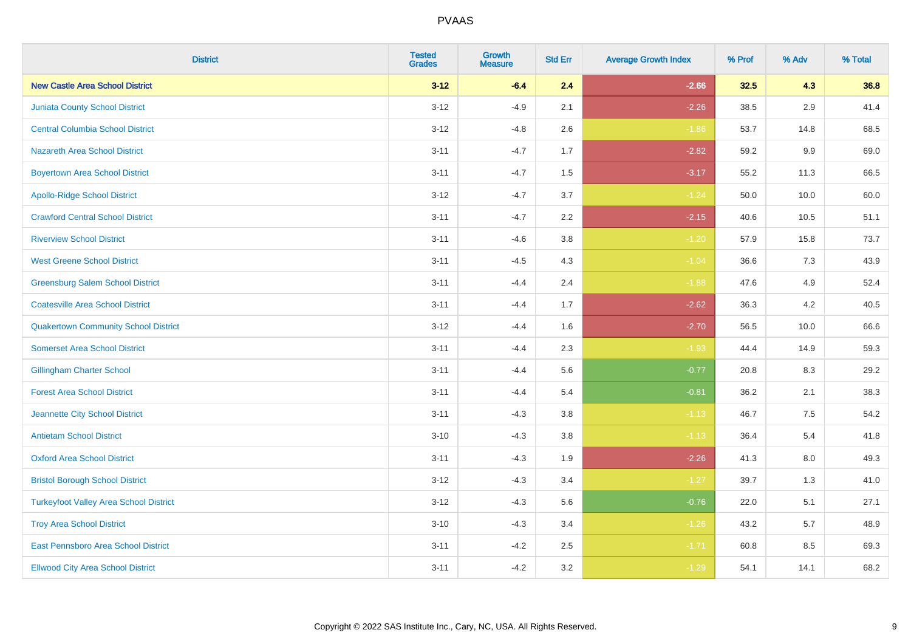| <b>District</b>                               | <b>Tested</b><br><b>Grades</b> | <b>Growth</b><br><b>Measure</b> | <b>Std Err</b> | <b>Average Growth Index</b> | % Prof | % Adv   | % Total |
|-----------------------------------------------|--------------------------------|---------------------------------|----------------|-----------------------------|--------|---------|---------|
| <b>New Castle Area School District</b>        | $3 - 12$                       | $-6.4$                          | 2.4            | $-2.66$                     | 32.5   | 4.3     | 36.8    |
| Juniata County School District                | $3 - 12$                       | $-4.9$                          | 2.1            | $-2.26$                     | 38.5   | $2.9\,$ | 41.4    |
| <b>Central Columbia School District</b>       | $3 - 12$                       | $-4.8$                          | 2.6            | $-1.86$                     | 53.7   | 14.8    | 68.5    |
| <b>Nazareth Area School District</b>          | $3 - 11$                       | $-4.7$                          | 1.7            | $-2.82$                     | 59.2   | 9.9     | 69.0    |
| <b>Boyertown Area School District</b>         | $3 - 11$                       | $-4.7$                          | 1.5            | $-3.17$                     | 55.2   | 11.3    | 66.5    |
| <b>Apollo-Ridge School District</b>           | $3 - 12$                       | $-4.7$                          | 3.7            | $-1.24$                     | 50.0   | 10.0    | 60.0    |
| <b>Crawford Central School District</b>       | $3 - 11$                       | $-4.7$                          | 2.2            | $-2.15$                     | 40.6   | 10.5    | 51.1    |
| <b>Riverview School District</b>              | $3 - 11$                       | $-4.6$                          | 3.8            | $-1.20$                     | 57.9   | 15.8    | 73.7    |
| <b>West Greene School District</b>            | $3 - 11$                       | $-4.5$                          | 4.3            | $-1.04$                     | 36.6   | 7.3     | 43.9    |
| <b>Greensburg Salem School District</b>       | $3 - 11$                       | $-4.4$                          | 2.4            | $-1.88$                     | 47.6   | 4.9     | 52.4    |
| <b>Coatesville Area School District</b>       | $3 - 11$                       | $-4.4$                          | 1.7            | $-2.62$                     | 36.3   | 4.2     | 40.5    |
| <b>Quakertown Community School District</b>   | $3 - 12$                       | $-4.4$                          | 1.6            | $-2.70$                     | 56.5   | 10.0    | 66.6    |
| <b>Somerset Area School District</b>          | $3 - 11$                       | $-4.4$                          | 2.3            | $-1.93$                     | 44.4   | 14.9    | 59.3    |
| <b>Gillingham Charter School</b>              | $3 - 11$                       | $-4.4$                          | 5.6            | $-0.77$                     | 20.8   | 8.3     | 29.2    |
| <b>Forest Area School District</b>            | $3 - 11$                       | $-4.4$                          | 5.4            | $-0.81$                     | 36.2   | 2.1     | 38.3    |
| Jeannette City School District                | $3 - 11$                       | $-4.3$                          | $3.8\,$        | $-1.13$                     | 46.7   | $7.5\,$ | 54.2    |
| <b>Antietam School District</b>               | $3 - 10$                       | $-4.3$                          | 3.8            | $-1.13$                     | 36.4   | 5.4     | 41.8    |
| <b>Oxford Area School District</b>            | $3 - 11$                       | $-4.3$                          | 1.9            | $-2.26$                     | 41.3   | 8.0     | 49.3    |
| <b>Bristol Borough School District</b>        | $3 - 12$                       | $-4.3$                          | 3.4            | $-1.27$                     | 39.7   | 1.3     | 41.0    |
| <b>Turkeyfoot Valley Area School District</b> | $3 - 12$                       | $-4.3$                          | 5.6            | $-0.76$                     | 22.0   | 5.1     | 27.1    |
| <b>Troy Area School District</b>              | $3 - 10$                       | $-4.3$                          | 3.4            | $-1.26$                     | 43.2   | 5.7     | 48.9    |
| East Pennsboro Area School District           | $3 - 11$                       | $-4.2$                          | 2.5            | $-1.71$                     | 60.8   | 8.5     | 69.3    |
| <b>Ellwood City Area School District</b>      | $3 - 11$                       | $-4.2$                          | 3.2            | $-1.29$                     | 54.1   | 14.1    | 68.2    |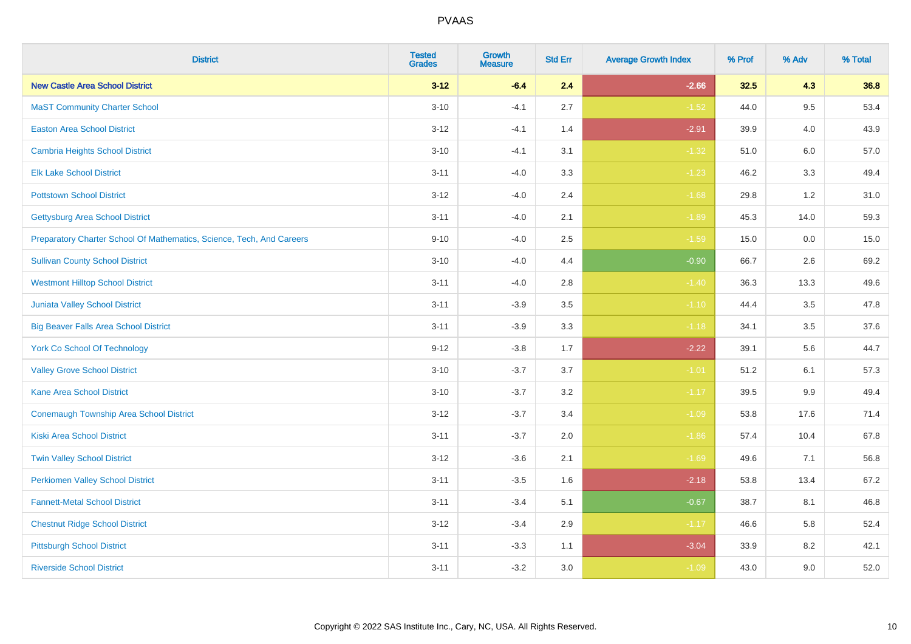| <b>District</b>                                                       | <b>Tested</b><br><b>Grades</b> | <b>Growth</b><br><b>Measure</b> | <b>Std Err</b> | <b>Average Growth Index</b> | % Prof | % Adv   | % Total |
|-----------------------------------------------------------------------|--------------------------------|---------------------------------|----------------|-----------------------------|--------|---------|---------|
| <b>New Castle Area School District</b>                                | $3 - 12$                       | $-6.4$                          | 2.4            | $-2.66$                     | 32.5   | 4.3     | 36.8    |
| <b>MaST Community Charter School</b>                                  | $3 - 10$                       | $-4.1$                          | 2.7            | $-1.52$                     | 44.0   | 9.5     | 53.4    |
| <b>Easton Area School District</b>                                    | $3 - 12$                       | $-4.1$                          | 1.4            | $-2.91$                     | 39.9   | 4.0     | 43.9    |
| <b>Cambria Heights School District</b>                                | $3 - 10$                       | $-4.1$                          | 3.1            | $-1.32$                     | 51.0   | $6.0\,$ | 57.0    |
| <b>Elk Lake School District</b>                                       | $3 - 11$                       | $-4.0$                          | 3.3            | $-1.23$                     | 46.2   | 3.3     | 49.4    |
| <b>Pottstown School District</b>                                      | $3 - 12$                       | $-4.0$                          | 2.4            | $-1.68$                     | 29.8   | 1.2     | 31.0    |
| <b>Gettysburg Area School District</b>                                | $3 - 11$                       | $-4.0$                          | 2.1            | $-1.89$                     | 45.3   | 14.0    | 59.3    |
| Preparatory Charter School Of Mathematics, Science, Tech, And Careers | $9 - 10$                       | $-4.0$                          | 2.5            | $-1.59$                     | 15.0   | 0.0     | 15.0    |
| <b>Sullivan County School District</b>                                | $3 - 10$                       | $-4.0$                          | 4.4            | $-0.90$                     | 66.7   | 2.6     | 69.2    |
| <b>Westmont Hilltop School District</b>                               | $3 - 11$                       | $-4.0$                          | 2.8            | $-1.40$                     | 36.3   | 13.3    | 49.6    |
| Juniata Valley School District                                        | $3 - 11$                       | $-3.9$                          | 3.5            | $-1.10$                     | 44.4   | 3.5     | 47.8    |
| <b>Big Beaver Falls Area School District</b>                          | $3 - 11$                       | $-3.9$                          | 3.3            | $-1.18$                     | 34.1   | 3.5     | 37.6    |
| <b>York Co School Of Technology</b>                                   | $9 - 12$                       | $-3.8$                          | 1.7            | $-2.22$                     | 39.1   | 5.6     | 44.7    |
| <b>Valley Grove School District</b>                                   | $3 - 10$                       | $-3.7$                          | 3.7            | $-1.01$                     | 51.2   | 6.1     | 57.3    |
| <b>Kane Area School District</b>                                      | $3 - 10$                       | $-3.7$                          | 3.2            | $-1.17$                     | 39.5   | 9.9     | 49.4    |
| <b>Conemaugh Township Area School District</b>                        | $3 - 12$                       | $-3.7$                          | 3.4            | $-1.09$                     | 53.8   | 17.6    | 71.4    |
| <b>Kiski Area School District</b>                                     | $3 - 11$                       | $-3.7$                          | 2.0            | $-1.86$                     | 57.4   | 10.4    | 67.8    |
| <b>Twin Valley School District</b>                                    | $3 - 12$                       | $-3.6$                          | 2.1            | $-1.69$                     | 49.6   | 7.1     | 56.8    |
| <b>Perkiomen Valley School District</b>                               | $3 - 11$                       | $-3.5$                          | 1.6            | $-2.18$                     | 53.8   | 13.4    | 67.2    |
| <b>Fannett-Metal School District</b>                                  | $3 - 11$                       | $-3.4$                          | 5.1            | $-0.67$                     | 38.7   | 8.1     | 46.8    |
| <b>Chestnut Ridge School District</b>                                 | $3 - 12$                       | $-3.4$                          | 2.9            | $-1.17$                     | 46.6   | 5.8     | 52.4    |
| <b>Pittsburgh School District</b>                                     | $3 - 11$                       | $-3.3$                          | 1.1            | $-3.04$                     | 33.9   | 8.2     | 42.1    |
| <b>Riverside School District</b>                                      | $3 - 11$                       | $-3.2$                          | 3.0            | $-1.09$                     | 43.0   | 9.0     | 52.0    |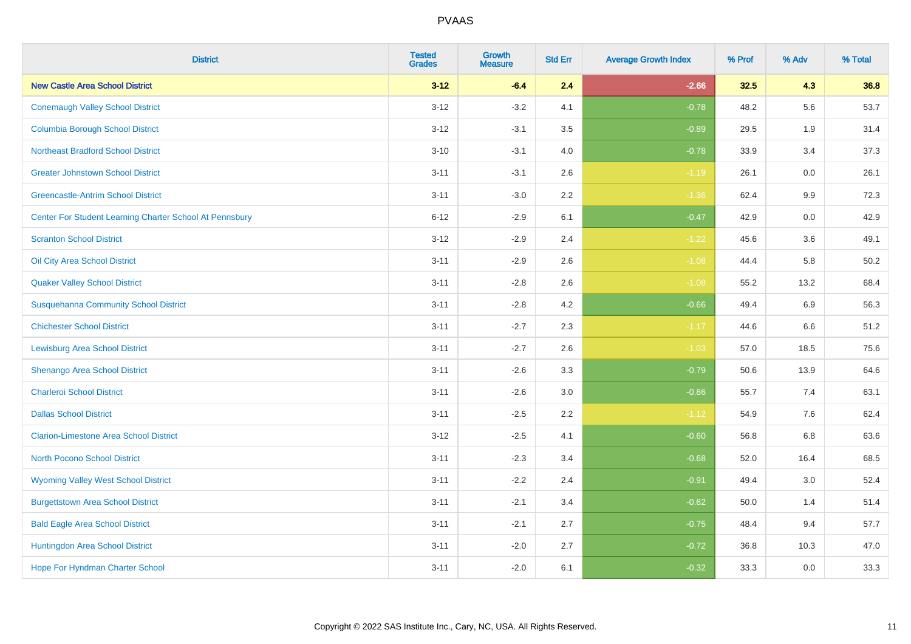| <b>District</b>                                         | <b>Tested</b><br><b>Grades</b> | <b>Growth</b><br><b>Measure</b> | <b>Std Err</b> | <b>Average Growth Index</b> | % Prof | % Adv   | % Total |
|---------------------------------------------------------|--------------------------------|---------------------------------|----------------|-----------------------------|--------|---------|---------|
| <b>New Castle Area School District</b>                  | $3 - 12$                       | $-6.4$                          | 2.4            | $-2.66$                     | 32.5   | 4.3     | 36.8    |
| <b>Conemaugh Valley School District</b>                 | $3 - 12$                       | $-3.2$                          | 4.1            | $-0.78$                     | 48.2   | 5.6     | 53.7    |
| <b>Columbia Borough School District</b>                 | $3 - 12$                       | $-3.1$                          | 3.5            | $-0.89$                     | 29.5   | 1.9     | 31.4    |
| <b>Northeast Bradford School District</b>               | $3 - 10$                       | $-3.1$                          | 4.0            | $-0.78$                     | 33.9   | 3.4     | 37.3    |
| <b>Greater Johnstown School District</b>                | $3 - 11$                       | $-3.1$                          | 2.6            | $-1.19$                     | 26.1   | 0.0     | 26.1    |
| <b>Greencastle-Antrim School District</b>               | $3 - 11$                       | $-3.0$                          | 2.2            | $-1.36$                     | 62.4   | 9.9     | 72.3    |
| Center For Student Learning Charter School At Pennsbury | $6 - 12$                       | $-2.9$                          | 6.1            | $-0.47$                     | 42.9   | 0.0     | 42.9    |
| <b>Scranton School District</b>                         | $3 - 12$                       | $-2.9$                          | 2.4            | $-1.22$                     | 45.6   | 3.6     | 49.1    |
| Oil City Area School District                           | $3 - 11$                       | $-2.9$                          | 2.6            | $-1.08$                     | 44.4   | 5.8     | 50.2    |
| <b>Quaker Valley School District</b>                    | $3 - 11$                       | $-2.8$                          | 2.6            | $-1.08$                     | 55.2   | 13.2    | 68.4    |
| <b>Susquehanna Community School District</b>            | $3 - 11$                       | $-2.8$                          | 4.2            | $-0.66$                     | 49.4   | 6.9     | 56.3    |
| <b>Chichester School District</b>                       | $3 - 11$                       | $-2.7$                          | 2.3            | $-1.17$                     | 44.6   | 6.6     | 51.2    |
| <b>Lewisburg Area School District</b>                   | $3 - 11$                       | $-2.7$                          | 2.6            | $-1.03$                     | 57.0   | 18.5    | 75.6    |
| Shenango Area School District                           | $3 - 11$                       | $-2.6$                          | 3.3            | $-0.79$                     | 50.6   | 13.9    | 64.6    |
| <b>Charleroi School District</b>                        | $3 - 11$                       | $-2.6$                          | 3.0            | $-0.86$                     | 55.7   | 7.4     | 63.1    |
| <b>Dallas School District</b>                           | $3 - 11$                       | $-2.5$                          | 2.2            | $-1.12$                     | 54.9   | $7.6\,$ | 62.4    |
| <b>Clarion-Limestone Area School District</b>           | $3 - 12$                       | $-2.5$                          | 4.1            | $-0.60$                     | 56.8   | 6.8     | 63.6    |
| North Pocono School District                            | $3 - 11$                       | $-2.3$                          | 3.4            | $-0.68$                     | 52.0   | 16.4    | 68.5    |
| <b>Wyoming Valley West School District</b>              | $3 - 11$                       | $-2.2$                          | 2.4            | $-0.91$                     | 49.4   | 3.0     | 52.4    |
| <b>Burgettstown Area School District</b>                | $3 - 11$                       | $-2.1$                          | 3.4            | $-0.62$                     | 50.0   | 1.4     | 51.4    |
| <b>Bald Eagle Area School District</b>                  | $3 - 11$                       | $-2.1$                          | 2.7            | $-0.75$                     | 48.4   | 9.4     | 57.7    |
| Huntingdon Area School District                         | $3 - 11$                       | $-2.0$                          | 2.7            | $-0.72$                     | 36.8   | 10.3    | 47.0    |
| <b>Hope For Hyndman Charter School</b>                  | $3 - 11$                       | $-2.0$                          | 6.1            | $-0.32$                     | 33.3   | 0.0     | 33.3    |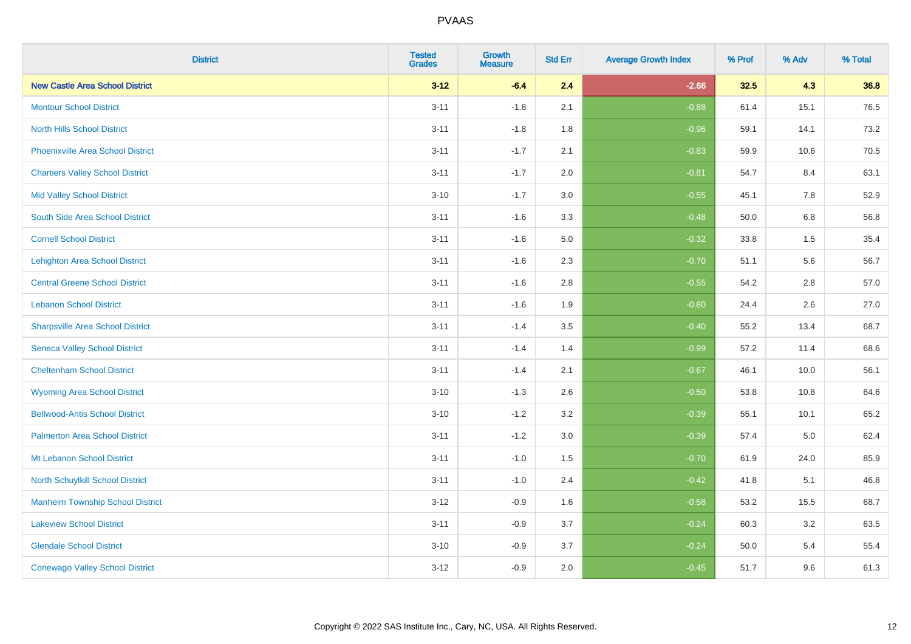| <b>District</b>                          | <b>Tested</b><br><b>Grades</b> | Growth<br><b>Measure</b> | <b>Std Err</b> | <b>Average Growth Index</b> | % Prof | % Adv   | % Total |
|------------------------------------------|--------------------------------|--------------------------|----------------|-----------------------------|--------|---------|---------|
| <b>New Castle Area School District</b>   | $3 - 12$                       | $-6.4$                   | 2.4            | $-2.66$                     | 32.5   | 4.3     | 36.8    |
| <b>Montour School District</b>           | $3 - 11$                       | $-1.8$                   | 2.1            | $-0.88$                     | 61.4   | 15.1    | 76.5    |
| <b>North Hills School District</b>       | $3 - 11$                       | $-1.8$                   | 1.8            | $-0.96$                     | 59.1   | 14.1    | 73.2    |
| <b>Phoenixville Area School District</b> | $3 - 11$                       | $-1.7$                   | 2.1            | $-0.83$                     | 59.9   | 10.6    | 70.5    |
| <b>Chartiers Valley School District</b>  | $3 - 11$                       | $-1.7$                   | 2.0            | $-0.81$                     | 54.7   | 8.4     | 63.1    |
| <b>Mid Valley School District</b>        | $3 - 10$                       | $-1.7$                   | 3.0            | $-0.55$                     | 45.1   | 7.8     | 52.9    |
| South Side Area School District          | $3 - 11$                       | $-1.6$                   | 3.3            | $-0.48$                     | 50.0   | $6.8\,$ | 56.8    |
| <b>Cornell School District</b>           | $3 - 11$                       | $-1.6$                   | $5.0\,$        | $-0.32$                     | 33.8   | 1.5     | 35.4    |
| <b>Lehighton Area School District</b>    | $3 - 11$                       | $-1.6$                   | 2.3            | $-0.70$                     | 51.1   | 5.6     | 56.7    |
| <b>Central Greene School District</b>    | $3 - 11$                       | $-1.6$                   | 2.8            | $-0.55$                     | 54.2   | 2.8     | 57.0    |
| <b>Lebanon School District</b>           | $3 - 11$                       | $-1.6$                   | 1.9            | $-0.80$                     | 24.4   | 2.6     | 27.0    |
| <b>Sharpsville Area School District</b>  | $3 - 11$                       | $-1.4$                   | 3.5            | $-0.40$                     | 55.2   | 13.4    | 68.7    |
| <b>Seneca Valley School District</b>     | $3 - 11$                       | $-1.4$                   | 1.4            | $-0.99$                     | 57.2   | 11.4    | 68.6    |
| <b>Cheltenham School District</b>        | $3 - 11$                       | $-1.4$                   | 2.1            | $-0.67$                     | 46.1   | 10.0    | 56.1    |
| <b>Wyoming Area School District</b>      | $3 - 10$                       | $-1.3$                   | 2.6            | $-0.50$                     | 53.8   | 10.8    | 64.6    |
| <b>Bellwood-Antis School District</b>    | $3 - 10$                       | $-1.2$                   | 3.2            | $-0.39$                     | 55.1   | 10.1    | 65.2    |
| <b>Palmerton Area School District</b>    | $3 - 11$                       | $-1.2$                   | 3.0            | $-0.39$                     | 57.4   | 5.0     | 62.4    |
| Mt Lebanon School District               | $3 - 11$                       | $-1.0$                   | 1.5            | $-0.70$                     | 61.9   | 24.0    | 85.9    |
| <b>North Schuylkill School District</b>  | $3 - 11$                       | $-1.0$                   | 2.4            | $-0.42$                     | 41.8   | 5.1     | 46.8    |
| <b>Manheim Township School District</b>  | $3-12$                         | $-0.9$                   | 1.6            | $-0.58$                     | 53.2   | 15.5    | 68.7    |
| <b>Lakeview School District</b>          | $3 - 11$                       | $-0.9$                   | 3.7            | $-0.24$                     | 60.3   | 3.2     | 63.5    |
| <b>Glendale School District</b>          | $3 - 10$                       | $-0.9$                   | 3.7            | $-0.24$                     | 50.0   | 5.4     | 55.4    |
| <b>Conewago Valley School District</b>   | $3-12$                         | $-0.9$                   | 2.0            | $-0.45$                     | 51.7   | 9.6     | 61.3    |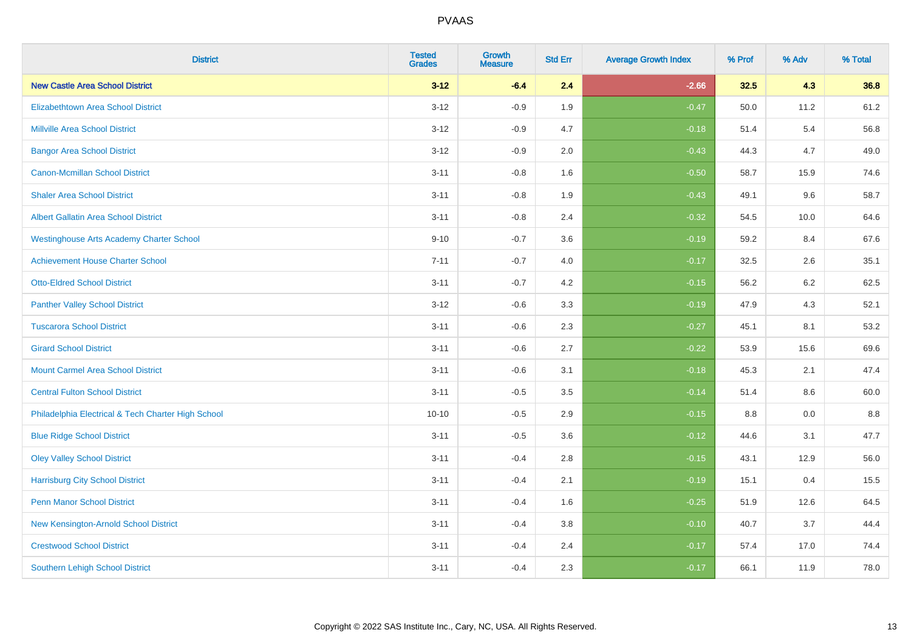| <b>District</b>                                    | <b>Tested</b><br><b>Grades</b> | <b>Growth</b><br><b>Measure</b> | <b>Std Err</b> | <b>Average Growth Index</b> | % Prof | % Adv   | % Total |
|----------------------------------------------------|--------------------------------|---------------------------------|----------------|-----------------------------|--------|---------|---------|
| <b>New Castle Area School District</b>             | $3 - 12$                       | $-6.4$                          | 2.4            | $-2.66$                     | 32.5   | 4.3     | 36.8    |
| <b>Elizabethtown Area School District</b>          | $3 - 12$                       | $-0.9$                          | 1.9            | $-0.47$                     | 50.0   | 11.2    | 61.2    |
| <b>Millville Area School District</b>              | $3 - 12$                       | $-0.9$                          | 4.7            | $-0.18$                     | 51.4   | 5.4     | 56.8    |
| <b>Bangor Area School District</b>                 | $3 - 12$                       | $-0.9$                          | 2.0            | $-0.43$                     | 44.3   | 4.7     | 49.0    |
| <b>Canon-Mcmillan School District</b>              | $3 - 11$                       | $-0.8$                          | 1.6            | $-0.50$                     | 58.7   | 15.9    | 74.6    |
| <b>Shaler Area School District</b>                 | $3 - 11$                       | $-0.8$                          | 1.9            | $-0.43$                     | 49.1   | 9.6     | 58.7    |
| <b>Albert Gallatin Area School District</b>        | $3 - 11$                       | $-0.8$                          | 2.4            | $-0.32$                     | 54.5   | 10.0    | 64.6    |
| <b>Westinghouse Arts Academy Charter School</b>    | $9 - 10$                       | $-0.7$                          | 3.6            | $-0.19$                     | 59.2   | 8.4     | 67.6    |
| <b>Achievement House Charter School</b>            | $7 - 11$                       | $-0.7$                          | 4.0            | $-0.17$                     | 32.5   | 2.6     | 35.1    |
| <b>Otto-Eldred School District</b>                 | $3 - 11$                       | $-0.7$                          | 4.2            | $-0.15$                     | 56.2   | $6.2\,$ | 62.5    |
| <b>Panther Valley School District</b>              | $3 - 12$                       | $-0.6$                          | 3.3            | $-0.19$                     | 47.9   | 4.3     | 52.1    |
| <b>Tuscarora School District</b>                   | $3 - 11$                       | $-0.6$                          | 2.3            | $-0.27$                     | 45.1   | 8.1     | 53.2    |
| <b>Girard School District</b>                      | $3 - 11$                       | $-0.6$                          | 2.7            | $-0.22$                     | 53.9   | 15.6    | 69.6    |
| <b>Mount Carmel Area School District</b>           | $3 - 11$                       | $-0.6$                          | 3.1            | $-0.18$                     | 45.3   | 2.1     | 47.4    |
| <b>Central Fulton School District</b>              | $3 - 11$                       | $-0.5$                          | 3.5            | $-0.14$                     | 51.4   | 8.6     | 60.0    |
| Philadelphia Electrical & Tech Charter High School | $10 - 10$                      | $-0.5$                          | 2.9            | $-0.15$                     | 8.8    | 0.0     | 8.8     |
| <b>Blue Ridge School District</b>                  | $3 - 11$                       | $-0.5$                          | 3.6            | $-0.12$                     | 44.6   | 3.1     | 47.7    |
| <b>Oley Valley School District</b>                 | $3 - 11$                       | $-0.4$                          | 2.8            | $-0.15$                     | 43.1   | 12.9    | 56.0    |
| <b>Harrisburg City School District</b>             | $3 - 11$                       | $-0.4$                          | 2.1            | $-0.19$                     | 15.1   | 0.4     | 15.5    |
| <b>Penn Manor School District</b>                  | $3 - 11$                       | $-0.4$                          | 1.6            | $-0.25$                     | 51.9   | 12.6    | 64.5    |
| New Kensington-Arnold School District              | $3 - 11$                       | $-0.4$                          | 3.8            | $-0.10$                     | 40.7   | 3.7     | 44.4    |
| <b>Crestwood School District</b>                   | $3 - 11$                       | $-0.4$                          | 2.4            | $-0.17$                     | 57.4   | 17.0    | 74.4    |
| <b>Southern Lehigh School District</b>             | $3 - 11$                       | $-0.4$                          | 2.3            | $-0.17$                     | 66.1   | 11.9    | 78.0    |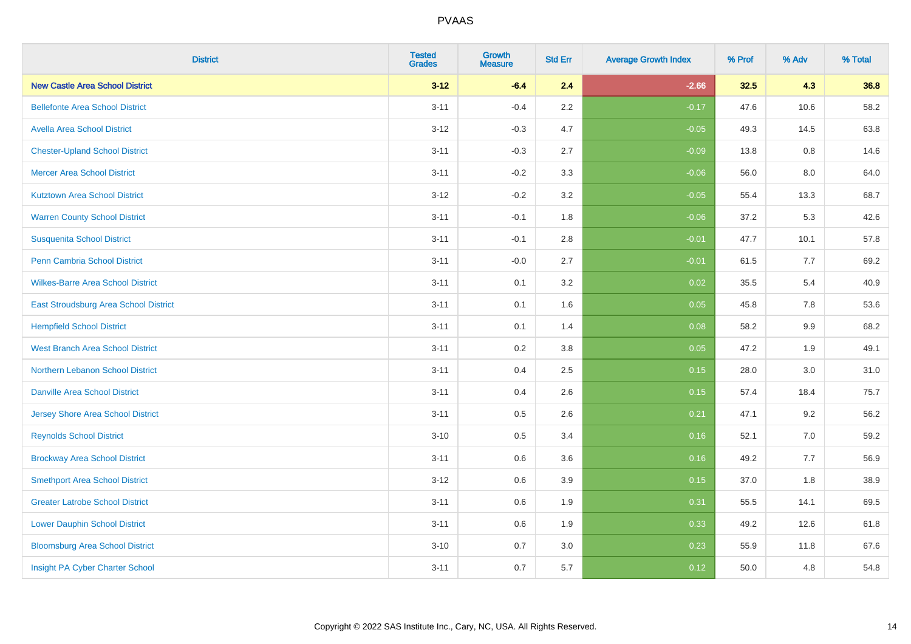| <b>District</b>                          | <b>Tested</b><br><b>Grades</b> | <b>Growth</b><br><b>Measure</b> | <b>Std Err</b> | <b>Average Growth Index</b> | % Prof | % Adv | % Total |
|------------------------------------------|--------------------------------|---------------------------------|----------------|-----------------------------|--------|-------|---------|
| <b>New Castle Area School District</b>   | $3 - 12$                       | $-6.4$                          | 2.4            | $-2.66$                     | 32.5   | 4.3   | 36.8    |
| <b>Bellefonte Area School District</b>   | $3 - 11$                       | $-0.4$                          | $2.2\,$        | $-0.17$                     | 47.6   | 10.6  | 58.2    |
| <b>Avella Area School District</b>       | $3 - 12$                       | $-0.3$                          | 4.7            | $-0.05$                     | 49.3   | 14.5  | 63.8    |
| <b>Chester-Upland School District</b>    | $3 - 11$                       | $-0.3$                          | 2.7            | $-0.09$                     | 13.8   | 0.8   | 14.6    |
| <b>Mercer Area School District</b>       | $3 - 11$                       | $-0.2$                          | 3.3            | $-0.06$                     | 56.0   | 8.0   | 64.0    |
| <b>Kutztown Area School District</b>     | $3 - 12$                       | $-0.2$                          | 3.2            | $-0.05$                     | 55.4   | 13.3  | 68.7    |
| <b>Warren County School District</b>     | $3 - 11$                       | $-0.1$                          | 1.8            | $-0.06$                     | 37.2   | 5.3   | 42.6    |
| <b>Susquenita School District</b>        | $3 - 11$                       | $-0.1$                          | 2.8            | $-0.01$                     | 47.7   | 10.1  | 57.8    |
| Penn Cambria School District             | $3 - 11$                       | $-0.0$                          | 2.7            | $-0.01$                     | 61.5   | 7.7   | 69.2    |
| <b>Wilkes-Barre Area School District</b> | $3 - 11$                       | 0.1                             | 3.2            | 0.02                        | 35.5   | 5.4   | 40.9    |
| East Stroudsburg Area School District    | $3 - 11$                       | 0.1                             | 1.6            | 0.05                        | 45.8   | 7.8   | 53.6    |
| <b>Hempfield School District</b>         | $3 - 11$                       | 0.1                             | 1.4            | 0.08                        | 58.2   | 9.9   | 68.2    |
| <b>West Branch Area School District</b>  | $3 - 11$                       | 0.2                             | $3.8\,$        | 0.05                        | 47.2   | 1.9   | 49.1    |
| Northern Lebanon School District         | $3 - 11$                       | 0.4                             | 2.5            | 0.15                        | 28.0   | 3.0   | 31.0    |
| <b>Danville Area School District</b>     | $3 - 11$                       | 0.4                             | 2.6            | 0.15                        | 57.4   | 18.4  | 75.7    |
| <b>Jersey Shore Area School District</b> | $3 - 11$                       | 0.5                             | 2.6            | 0.21                        | 47.1   | 9.2   | 56.2    |
| <b>Reynolds School District</b>          | $3 - 10$                       | 0.5                             | 3.4            | 0.16                        | 52.1   | 7.0   | 59.2    |
| <b>Brockway Area School District</b>     | $3 - 11$                       | 0.6                             | 3.6            | 0.16                        | 49.2   | 7.7   | 56.9    |
| <b>Smethport Area School District</b>    | $3 - 12$                       | 0.6                             | 3.9            | 0.15                        | 37.0   | 1.8   | 38.9    |
| <b>Greater Latrobe School District</b>   | $3 - 11$                       | 0.6                             | 1.9            | 0.31                        | 55.5   | 14.1  | 69.5    |
| <b>Lower Dauphin School District</b>     | $3 - 11$                       | 0.6                             | 1.9            | 0.33                        | 49.2   | 12.6  | 61.8    |
| <b>Bloomsburg Area School District</b>   | $3 - 10$                       | 0.7                             | 3.0            | 0.23                        | 55.9   | 11.8  | 67.6    |
| Insight PA Cyber Charter School          | $3 - 11$                       | 0.7                             | 5.7            | 0.12                        | 50.0   | 4.8   | 54.8    |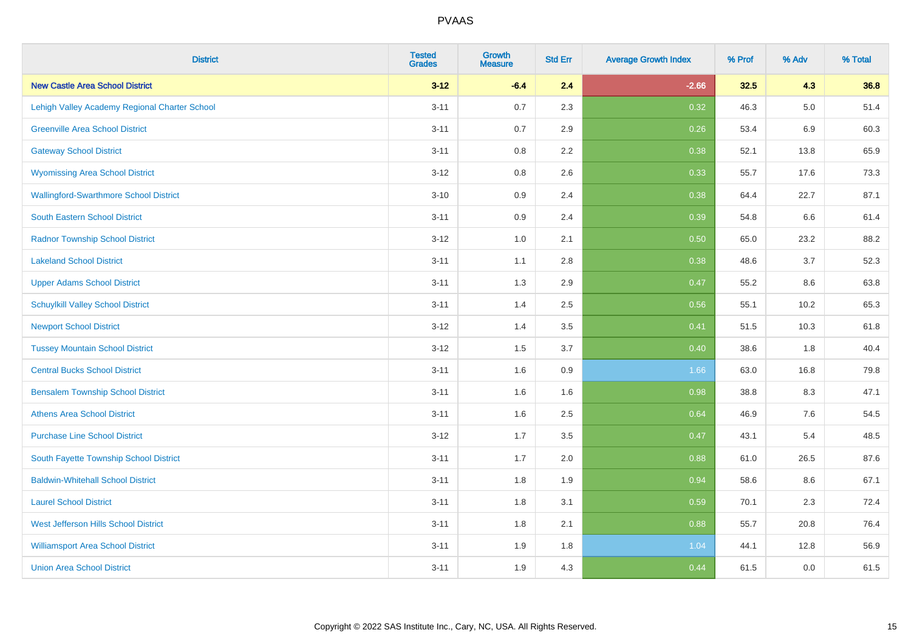| <b>District</b>                               | <b>Tested</b><br><b>Grades</b> | <b>Growth</b><br><b>Measure</b> | <b>Std Err</b> | <b>Average Growth Index</b> | % Prof | % Adv   | % Total |
|-----------------------------------------------|--------------------------------|---------------------------------|----------------|-----------------------------|--------|---------|---------|
| <b>New Castle Area School District</b>        | $3 - 12$                       | $-6.4$                          | 2.4            | $-2.66$                     | 32.5   | 4.3     | 36.8    |
| Lehigh Valley Academy Regional Charter School | $3 - 11$                       | 0.7                             | 2.3            | 0.32                        | 46.3   | $5.0\,$ | 51.4    |
| <b>Greenville Area School District</b>        | $3 - 11$                       | 0.7                             | 2.9            | 0.26                        | 53.4   | 6.9     | 60.3    |
| <b>Gateway School District</b>                | $3 - 11$                       | 0.8                             | 2.2            | 0.38                        | 52.1   | 13.8    | 65.9    |
| <b>Wyomissing Area School District</b>        | $3 - 12$                       | 0.8                             | 2.6            | 0.33                        | 55.7   | 17.6    | 73.3    |
| <b>Wallingford-Swarthmore School District</b> | $3 - 10$                       | 0.9                             | 2.4            | 0.38                        | 64.4   | 22.7    | 87.1    |
| South Eastern School District                 | $3 - 11$                       | 0.9                             | 2.4            | 0.39                        | 54.8   | 6.6     | 61.4    |
| <b>Radnor Township School District</b>        | $3 - 12$                       | 1.0                             | 2.1            | 0.50                        | 65.0   | 23.2    | 88.2    |
| <b>Lakeland School District</b>               | $3 - 11$                       | 1.1                             | 2.8            | 0.38                        | 48.6   | 3.7     | 52.3    |
| <b>Upper Adams School District</b>            | $3 - 11$                       | 1.3                             | 2.9            | 0.47                        | 55.2   | 8.6     | 63.8    |
| <b>Schuylkill Valley School District</b>      | $3 - 11$                       | 1.4                             | 2.5            | 0.56                        | 55.1   | 10.2    | 65.3    |
| <b>Newport School District</b>                | $3 - 12$                       | 1.4                             | 3.5            | 0.41                        | 51.5   | 10.3    | 61.8    |
| <b>Tussey Mountain School District</b>        | $3 - 12$                       | 1.5                             | 3.7            | 0.40                        | 38.6   | $1.8\,$ | 40.4    |
| <b>Central Bucks School District</b>          | $3 - 11$                       | 1.6                             | 0.9            | 1.66                        | 63.0   | 16.8    | 79.8    |
| <b>Bensalem Township School District</b>      | $3 - 11$                       | 1.6                             | 1.6            | 0.98                        | 38.8   | 8.3     | 47.1    |
| <b>Athens Area School District</b>            | $3 - 11$                       | 1.6                             | 2.5            | 0.64                        | 46.9   | 7.6     | 54.5    |
| <b>Purchase Line School District</b>          | $3 - 12$                       | 1.7                             | 3.5            | 0.47                        | 43.1   | 5.4     | 48.5    |
| South Fayette Township School District        | $3 - 11$                       | 1.7                             | 2.0            | 0.88                        | 61.0   | 26.5    | 87.6    |
| <b>Baldwin-Whitehall School District</b>      | $3 - 11$                       | 1.8                             | 1.9            | 0.94                        | 58.6   | 8.6     | 67.1    |
| <b>Laurel School District</b>                 | $3 - 11$                       | 1.8                             | 3.1            | 0.59                        | 70.1   | 2.3     | 72.4    |
| West Jefferson Hills School District          | $3 - 11$                       | 1.8                             | 2.1            | 0.88                        | 55.7   | 20.8    | 76.4    |
| <b>Williamsport Area School District</b>      | $3 - 11$                       | 1.9                             | 1.8            | 1.04                        | 44.1   | 12.8    | 56.9    |
| <b>Union Area School District</b>             | $3 - 11$                       | 1.9                             | 4.3            | 0.44                        | 61.5   | 0.0     | 61.5    |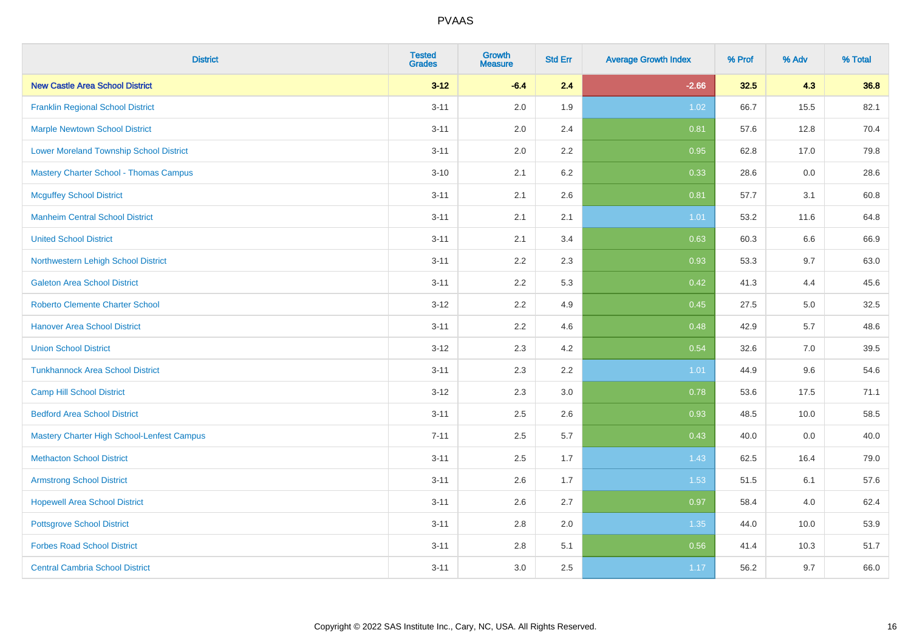| <b>District</b>                                | <b>Tested</b><br><b>Grades</b> | <b>Growth</b><br><b>Measure</b> | <b>Std Err</b> | <b>Average Growth Index</b> | % Prof | % Adv | % Total |
|------------------------------------------------|--------------------------------|---------------------------------|----------------|-----------------------------|--------|-------|---------|
| <b>New Castle Area School District</b>         | $3 - 12$                       | $-6.4$                          | 2.4            | $-2.66$                     | 32.5   | 4.3   | 36.8    |
| <b>Franklin Regional School District</b>       | $3 - 11$                       | 2.0                             | 1.9            | 1.02                        | 66.7   | 15.5  | 82.1    |
| <b>Marple Newtown School District</b>          | $3 - 11$                       | 2.0                             | 2.4            | 0.81                        | 57.6   | 12.8  | 70.4    |
| <b>Lower Moreland Township School District</b> | $3 - 11$                       | 2.0                             | 2.2            | 0.95                        | 62.8   | 17.0  | 79.8    |
| <b>Mastery Charter School - Thomas Campus</b>  | $3 - 10$                       | 2.1                             | 6.2            | 0.33                        | 28.6   | 0.0   | 28.6    |
| <b>Mcguffey School District</b>                | $3 - 11$                       | 2.1                             | 2.6            | 0.81                        | 57.7   | 3.1   | 60.8    |
| <b>Manheim Central School District</b>         | $3 - 11$                       | 2.1                             | 2.1            | $1.01$                      | 53.2   | 11.6  | 64.8    |
| <b>United School District</b>                  | $3 - 11$                       | 2.1                             | 3.4            | 0.63                        | 60.3   | 6.6   | 66.9    |
| Northwestern Lehigh School District            | $3 - 11$                       | 2.2                             | 2.3            | 0.93                        | 53.3   | 9.7   | 63.0    |
| <b>Galeton Area School District</b>            | $3 - 11$                       | 2.2                             | 5.3            | 0.42                        | 41.3   | 4.4   | 45.6    |
| <b>Roberto Clemente Charter School</b>         | $3 - 12$                       | 2.2                             | 4.9            | 0.45                        | 27.5   | 5.0   | 32.5    |
| <b>Hanover Area School District</b>            | $3 - 11$                       | 2.2                             | 4.6            | 0.48                        | 42.9   | 5.7   | 48.6    |
| <b>Union School District</b>                   | $3 - 12$                       | 2.3                             | 4.2            | 0.54                        | 32.6   | 7.0   | 39.5    |
| <b>Tunkhannock Area School District</b>        | $3 - 11$                       | 2.3                             | 2.2            | 1.01                        | 44.9   | 9.6   | 54.6    |
| <b>Camp Hill School District</b>               | $3 - 12$                       | 2.3                             | 3.0            | 0.78                        | 53.6   | 17.5  | 71.1    |
| <b>Bedford Area School District</b>            | $3 - 11$                       | 2.5                             | 2.6            | 0.93                        | 48.5   | 10.0  | 58.5    |
| Mastery Charter High School-Lenfest Campus     | $7 - 11$                       | 2.5                             | 5.7            | 0.43                        | 40.0   | 0.0   | 40.0    |
| <b>Methacton School District</b>               | $3 - 11$                       | 2.5                             | 1.7            | 1.43                        | 62.5   | 16.4  | 79.0    |
| <b>Armstrong School District</b>               | $3 - 11$                       | 2.6                             | 1.7            | 1.53                        | 51.5   | 6.1   | 57.6    |
| <b>Hopewell Area School District</b>           | $3 - 11$                       | 2.6                             | 2.7            | 0.97                        | 58.4   | 4.0   | 62.4    |
| <b>Pottsgrove School District</b>              | $3 - 11$                       | 2.8                             | 2.0            | 1.35                        | 44.0   | 10.0  | 53.9    |
| <b>Forbes Road School District</b>             | $3 - 11$                       | 2.8                             | 5.1            | 0.56                        | 41.4   | 10.3  | 51.7    |
| <b>Central Cambria School District</b>         | $3 - 11$                       | 3.0                             | 2.5            | 1.17                        | 56.2   | 9.7   | 66.0    |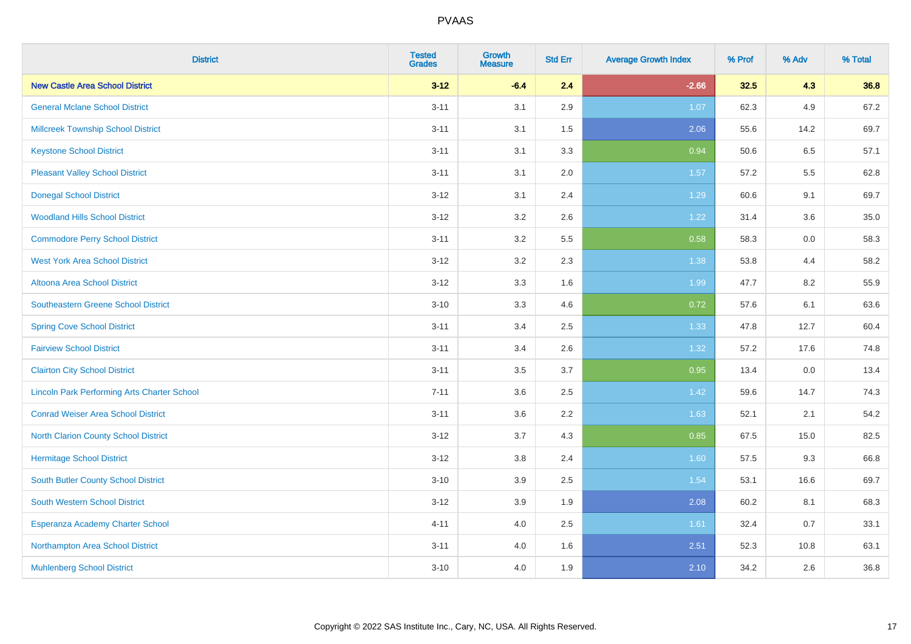| <b>District</b>                                    | <b>Tested</b><br><b>Grades</b> | <b>Growth</b><br><b>Measure</b> | <b>Std Err</b> | <b>Average Growth Index</b> | % Prof | % Adv | % Total |
|----------------------------------------------------|--------------------------------|---------------------------------|----------------|-----------------------------|--------|-------|---------|
| <b>New Castle Area School District</b>             | $3 - 12$                       | $-6.4$                          | 2.4            | $-2.66$                     | 32.5   | 4.3   | 36.8    |
| <b>General Mclane School District</b>              | $3 - 11$                       | 3.1                             | 2.9            | 1.07                        | 62.3   | 4.9   | 67.2    |
| <b>Millcreek Township School District</b>          | $3 - 11$                       | 3.1                             | 1.5            | 2.06                        | 55.6   | 14.2  | 69.7    |
| <b>Keystone School District</b>                    | $3 - 11$                       | 3.1                             | 3.3            | 0.94                        | 50.6   | 6.5   | 57.1    |
| <b>Pleasant Valley School District</b>             | $3 - 11$                       | 3.1                             | 2.0            | 1.57                        | 57.2   | 5.5   | 62.8    |
| <b>Donegal School District</b>                     | $3 - 12$                       | 3.1                             | 2.4            | 1.29                        | 60.6   | 9.1   | 69.7    |
| <b>Woodland Hills School District</b>              | $3 - 12$                       | 3.2                             | 2.6            | 1.22                        | 31.4   | 3.6   | 35.0    |
| <b>Commodore Perry School District</b>             | $3 - 11$                       | 3.2                             | 5.5            | 0.58                        | 58.3   | 0.0   | 58.3    |
| <b>West York Area School District</b>              | $3 - 12$                       | 3.2                             | 2.3            | 1.38                        | 53.8   | 4.4   | 58.2    |
| Altoona Area School District                       | $3 - 12$                       | 3.3                             | 1.6            | 1.99                        | 47.7   | 8.2   | 55.9    |
| Southeastern Greene School District                | $3 - 10$                       | 3.3                             | 4.6            | 0.72                        | 57.6   | 6.1   | 63.6    |
| <b>Spring Cove School District</b>                 | $3 - 11$                       | 3.4                             | 2.5            | 1.33                        | 47.8   | 12.7  | 60.4    |
| <b>Fairview School District</b>                    | $3 - 11$                       | 3.4                             | 2.6            | 1.32                        | 57.2   | 17.6  | 74.8    |
| <b>Clairton City School District</b>               | $3 - 11$                       | 3.5                             | 3.7            | 0.95                        | 13.4   | 0.0   | 13.4    |
| <b>Lincoln Park Performing Arts Charter School</b> | $7 - 11$                       | 3.6                             | 2.5            | 1.42                        | 59.6   | 14.7  | 74.3    |
| <b>Conrad Weiser Area School District</b>          | $3 - 11$                       | 3.6                             | 2.2            | 1.63                        | 52.1   | 2.1   | 54.2    |
| <b>North Clarion County School District</b>        | $3 - 12$                       | 3.7                             | 4.3            | 0.85                        | 67.5   | 15.0  | 82.5    |
| <b>Hermitage School District</b>                   | $3 - 12$                       | $3.8\,$                         | 2.4            | 1.60                        | 57.5   | 9.3   | 66.8    |
| South Butler County School District                | $3 - 10$                       | 3.9                             | 2.5            | 1.54                        | 53.1   | 16.6  | 69.7    |
| South Western School District                      | $3 - 12$                       | 3.9                             | 1.9            | 2.08                        | 60.2   | 8.1   | 68.3    |
| Esperanza Academy Charter School                   | $4 - 11$                       | 4.0                             | 2.5            | 1.61                        | 32.4   | 0.7   | 33.1    |
| Northampton Area School District                   | $3 - 11$                       | 4.0                             | 1.6            | 2.51                        | 52.3   | 10.8  | 63.1    |
| <b>Muhlenberg School District</b>                  | $3 - 10$                       | 4.0                             | 1.9            | 2.10                        | 34.2   | 2.6   | 36.8    |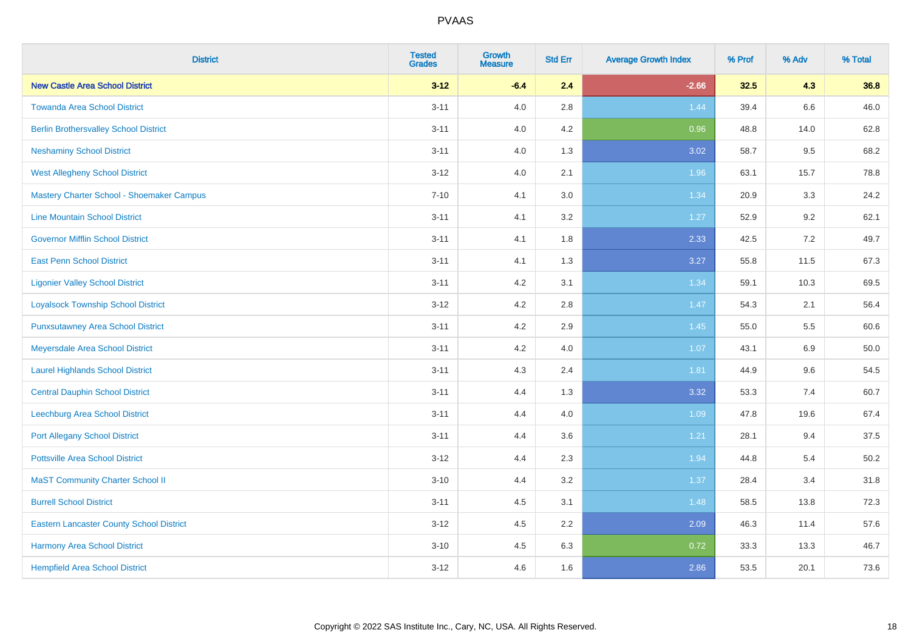| <b>District</b>                                 | <b>Tested</b><br><b>Grades</b> | Growth<br><b>Measure</b> | <b>Std Err</b> | <b>Average Growth Index</b> | % Prof | % Adv   | % Total |
|-------------------------------------------------|--------------------------------|--------------------------|----------------|-----------------------------|--------|---------|---------|
| <b>New Castle Area School District</b>          | $3 - 12$                       | $-6.4$                   | 2.4            | $-2.66$                     | 32.5   | 4.3     | 36.8    |
| <b>Towanda Area School District</b>             | $3 - 11$                       | 4.0                      | 2.8            | 1.44                        | 39.4   | $6.6\,$ | 46.0    |
| <b>Berlin Brothersvalley School District</b>    | $3 - 11$                       | 4.0                      | 4.2            | 0.96                        | 48.8   | 14.0    | 62.8    |
| <b>Neshaminy School District</b>                | $3 - 11$                       | 4.0                      | 1.3            | 3.02                        | 58.7   | 9.5     | 68.2    |
| <b>West Allegheny School District</b>           | $3 - 12$                       | 4.0                      | 2.1            | 1.96                        | 63.1   | 15.7    | 78.8    |
| Mastery Charter School - Shoemaker Campus       | $7 - 10$                       | 4.1                      | 3.0            | 1.34                        | 20.9   | 3.3     | 24.2    |
| <b>Line Mountain School District</b>            | $3 - 11$                       | 4.1                      | 3.2            | 1.27                        | 52.9   | 9.2     | 62.1    |
| <b>Governor Mifflin School District</b>         | $3 - 11$                       | 4.1                      | 1.8            | 2.33                        | 42.5   | 7.2     | 49.7    |
| <b>East Penn School District</b>                | $3 - 11$                       | 4.1                      | 1.3            | 3.27                        | 55.8   | 11.5    | 67.3    |
| <b>Ligonier Valley School District</b>          | $3 - 11$                       | 4.2                      | 3.1            | 1.34                        | 59.1   | 10.3    | 69.5    |
| <b>Loyalsock Township School District</b>       | $3 - 12$                       | 4.2                      | 2.8            | $1.47$                      | 54.3   | 2.1     | 56.4    |
| <b>Punxsutawney Area School District</b>        | $3 - 11$                       | 4.2                      | 2.9            | 1.45                        | 55.0   | 5.5     | 60.6    |
| Meyersdale Area School District                 | $3 - 11$                       | 4.2                      | 4.0            | 1.07                        | 43.1   | 6.9     | 50.0    |
| <b>Laurel Highlands School District</b>         | $3 - 11$                       | 4.3                      | 2.4            | 1.81                        | 44.9   | 9.6     | 54.5    |
| <b>Central Dauphin School District</b>          | $3 - 11$                       | 4.4                      | 1.3            | 3.32                        | 53.3   | 7.4     | 60.7    |
| Leechburg Area School District                  | $3 - 11$                       | 4.4                      | 4.0            | 1.09                        | 47.8   | 19.6    | 67.4    |
| <b>Port Allegany School District</b>            | $3 - 11$                       | 4.4                      | 3.6            | 1.21                        | 28.1   | 9.4     | 37.5    |
| <b>Pottsville Area School District</b>          | $3 - 12$                       | 4.4                      | 2.3            | 1.94                        | 44.8   | 5.4     | 50.2    |
| <b>MaST Community Charter School II</b>         | $3 - 10$                       | 4.4                      | 3.2            | 1.37                        | 28.4   | 3.4     | 31.8    |
| <b>Burrell School District</b>                  | $3 - 11$                       | 4.5                      | 3.1            | 1.48                        | 58.5   | 13.8    | 72.3    |
| <b>Eastern Lancaster County School District</b> | $3 - 12$                       | 4.5                      | 2.2            | 2.09                        | 46.3   | 11.4    | 57.6    |
| Harmony Area School District                    | $3 - 10$                       | 4.5                      | 6.3            | 0.72                        | 33.3   | 13.3    | 46.7    |
| <b>Hempfield Area School District</b>           | $3 - 12$                       | 4.6                      | 1.6            | 2.86                        | 53.5   | 20.1    | 73.6    |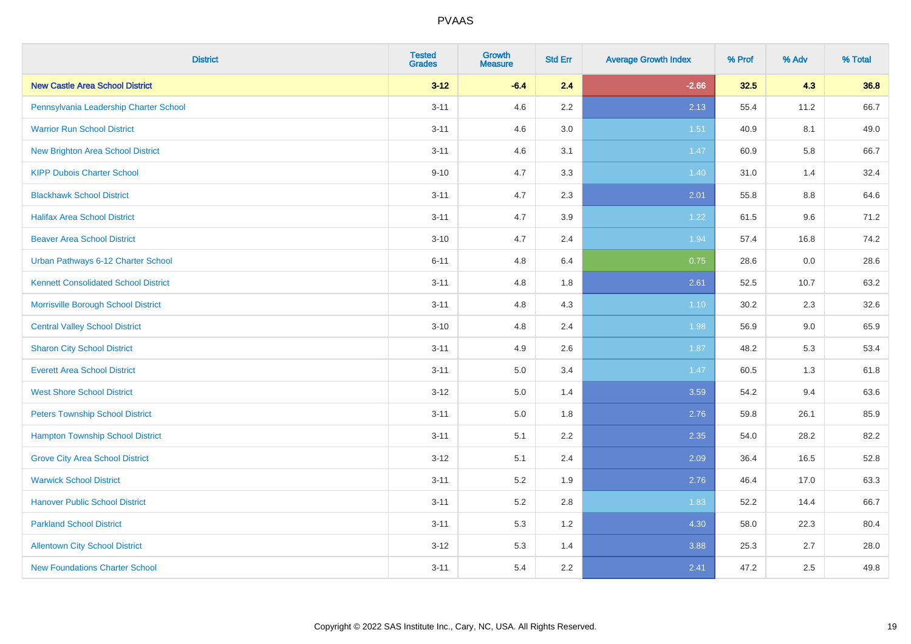| <b>District</b>                             | <b>Tested</b><br><b>Grades</b> | <b>Growth</b><br><b>Measure</b> | <b>Std Err</b> | <b>Average Growth Index</b> | % Prof | % Adv | % Total |
|---------------------------------------------|--------------------------------|---------------------------------|----------------|-----------------------------|--------|-------|---------|
| <b>New Castle Area School District</b>      | $3 - 12$                       | $-6.4$                          | 2.4            | $-2.66$                     | 32.5   | 4.3   | 36.8    |
| Pennsylvania Leadership Charter School      | $3 - 11$                       | 4.6                             | $2.2\,$        | 2.13                        | 55.4   | 11.2  | 66.7    |
| <b>Warrior Run School District</b>          | $3 - 11$                       | 4.6                             | 3.0            | 1.51                        | 40.9   | 8.1   | 49.0    |
| <b>New Brighton Area School District</b>    | $3 - 11$                       | 4.6                             | 3.1            | 1.47                        | 60.9   | 5.8   | 66.7    |
| <b>KIPP Dubois Charter School</b>           | $9 - 10$                       | 4.7                             | 3.3            | 1.40                        | 31.0   | 1.4   | 32.4    |
| <b>Blackhawk School District</b>            | $3 - 11$                       | 4.7                             | 2.3            | 2.01                        | 55.8   | 8.8   | 64.6    |
| <b>Halifax Area School District</b>         | $3 - 11$                       | 4.7                             | 3.9            | 1.22                        | 61.5   | 9.6   | 71.2    |
| <b>Beaver Area School District</b>          | $3 - 10$                       | 4.7                             | 2.4            | 1.94                        | 57.4   | 16.8  | 74.2    |
| Urban Pathways 6-12 Charter School          | $6 - 11$                       | 4.8                             | 6.4            | 0.75                        | 28.6   | 0.0   | 28.6    |
| <b>Kennett Consolidated School District</b> | $3 - 11$                       | 4.8                             | 1.8            | 2.61                        | 52.5   | 10.7  | 63.2    |
| Morrisville Borough School District         | $3 - 11$                       | 4.8                             | 4.3            | $1.10$                      | 30.2   | 2.3   | 32.6    |
| <b>Central Valley School District</b>       | $3 - 10$                       | 4.8                             | 2.4            | 1.98                        | 56.9   | 9.0   | 65.9    |
| <b>Sharon City School District</b>          | $3 - 11$                       | 4.9                             | 2.6            | 1.87                        | 48.2   | 5.3   | 53.4    |
| <b>Everett Area School District</b>         | $3 - 11$                       | 5.0                             | 3.4            | 1.47                        | 60.5   | 1.3   | 61.8    |
| <b>West Shore School District</b>           | $3 - 12$                       | 5.0                             | 1.4            | 3.59                        | 54.2   | 9.4   | 63.6    |
| <b>Peters Township School District</b>      | $3 - 11$                       | 5.0                             | 1.8            | 2.76                        | 59.8   | 26.1  | 85.9    |
| <b>Hampton Township School District</b>     | $3 - 11$                       | 5.1                             | 2.2            | 2.35                        | 54.0   | 28.2  | 82.2    |
| <b>Grove City Area School District</b>      | $3 - 12$                       | 5.1                             | 2.4            | 2.09                        | 36.4   | 16.5  | 52.8    |
| <b>Warwick School District</b>              | $3 - 11$                       | 5.2                             | 1.9            | 2.76                        | 46.4   | 17.0  | 63.3    |
| <b>Hanover Public School District</b>       | $3 - 11$                       | 5.2                             | 2.8            | 1.83                        | 52.2   | 14.4  | 66.7    |
| <b>Parkland School District</b>             | $3 - 11$                       | 5.3                             | 1.2            | 4.30                        | 58.0   | 22.3  | 80.4    |
| <b>Allentown City School District</b>       | $3 - 12$                       | 5.3                             | 1.4            | 3.88                        | 25.3   | 2.7   | 28.0    |
| <b>New Foundations Charter School</b>       | $3 - 11$                       | 5.4                             | 2.2            | 2.41                        | 47.2   | 2.5   | 49.8    |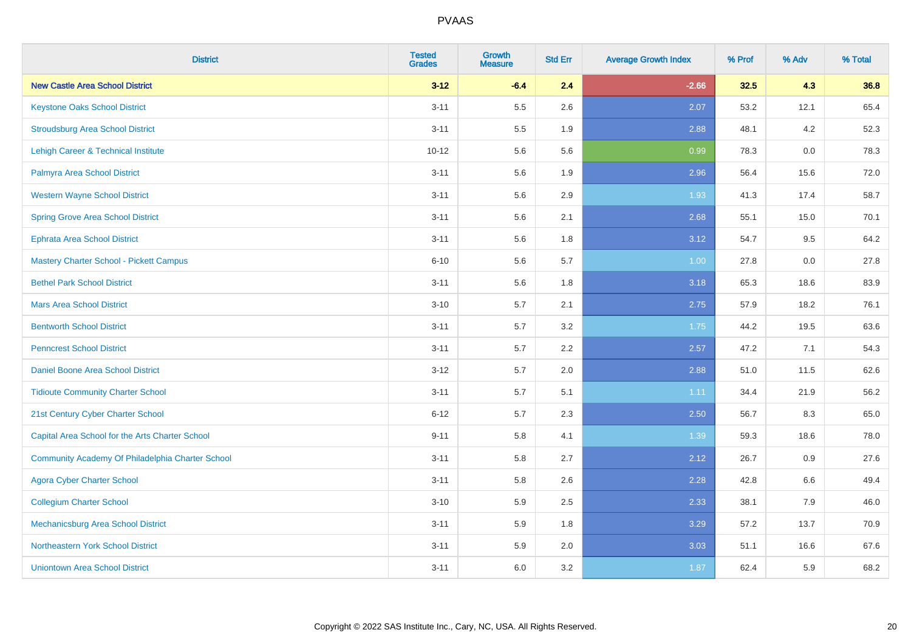| <b>District</b>                                  | <b>Tested</b><br><b>Grades</b> | Growth<br><b>Measure</b> | <b>Std Err</b> | <b>Average Growth Index</b> | % Prof | % Adv | % Total |
|--------------------------------------------------|--------------------------------|--------------------------|----------------|-----------------------------|--------|-------|---------|
| <b>New Castle Area School District</b>           | $3 - 12$                       | $-6.4$                   | 2.4            | $-2.66$                     | 32.5   | 4.3   | 36.8    |
| <b>Keystone Oaks School District</b>             | $3 - 11$                       | 5.5                      | 2.6            | 2.07                        | 53.2   | 12.1  | 65.4    |
| <b>Stroudsburg Area School District</b>          | $3 - 11$                       | 5.5                      | 1.9            | 2.88                        | 48.1   | 4.2   | 52.3    |
| Lehigh Career & Technical Institute              | $10 - 12$                      | 5.6                      | 5.6            | 0.99                        | 78.3   | 0.0   | 78.3    |
| Palmyra Area School District                     | $3 - 11$                       | 5.6                      | 1.9            | 2.96                        | 56.4   | 15.6  | 72.0    |
| <b>Western Wayne School District</b>             | $3 - 11$                       | 5.6                      | 2.9            | 1.93                        | 41.3   | 17.4  | 58.7    |
| <b>Spring Grove Area School District</b>         | $3 - 11$                       | 5.6                      | 2.1            | 2.68                        | 55.1   | 15.0  | 70.1    |
| <b>Ephrata Area School District</b>              | $3 - 11$                       | 5.6                      | 1.8            | 3.12                        | 54.7   | 9.5   | 64.2    |
| Mastery Charter School - Pickett Campus          | $6 - 10$                       | 5.6                      | 5.7            | 1.00                        | 27.8   | 0.0   | 27.8    |
| <b>Bethel Park School District</b>               | $3 - 11$                       | 5.6                      | 1.8            | 3.18                        | 65.3   | 18.6  | 83.9    |
| <b>Mars Area School District</b>                 | $3 - 10$                       | 5.7                      | 2.1            | 2.75                        | 57.9   | 18.2  | 76.1    |
| <b>Bentworth School District</b>                 | $3 - 11$                       | 5.7                      | 3.2            | 1.75                        | 44.2   | 19.5  | 63.6    |
| <b>Penncrest School District</b>                 | $3 - 11$                       | 5.7                      | 2.2            | 2.57                        | 47.2   | 7.1   | 54.3    |
| <b>Daniel Boone Area School District</b>         | $3 - 12$                       | 5.7                      | 2.0            | 2.88                        | 51.0   | 11.5  | 62.6    |
| <b>Tidioute Community Charter School</b>         | $3 - 11$                       | 5.7                      | 5.1            | 1.11                        | 34.4   | 21.9  | 56.2    |
| 21st Century Cyber Charter School                | $6 - 12$                       | 5.7                      | 2.3            | 2.50                        | 56.7   | 8.3   | 65.0    |
| Capital Area School for the Arts Charter School  | $9 - 11$                       | 5.8                      | 4.1            | 1.39                        | 59.3   | 18.6  | 78.0    |
| Community Academy Of Philadelphia Charter School | $3 - 11$                       | 5.8                      | 2.7            | 2.12                        | 26.7   | 0.9   | 27.6    |
| <b>Agora Cyber Charter School</b>                | $3 - 11$                       | 5.8                      | 2.6            | 2.28                        | 42.8   | 6.6   | 49.4    |
| <b>Collegium Charter School</b>                  | $3 - 10$                       | 5.9                      | 2.5            | 2.33                        | 38.1   | 7.9   | 46.0    |
| Mechanicsburg Area School District               | $3 - 11$                       | 5.9                      | 1.8            | 3.29                        | 57.2   | 13.7  | 70.9    |
| Northeastern York School District                | $3 - 11$                       | 5.9                      | 2.0            | 3.03                        | 51.1   | 16.6  | 67.6    |
| <b>Uniontown Area School District</b>            | $3 - 11$                       | 6.0                      | 3.2            | 1.87                        | 62.4   | 5.9   | 68.2    |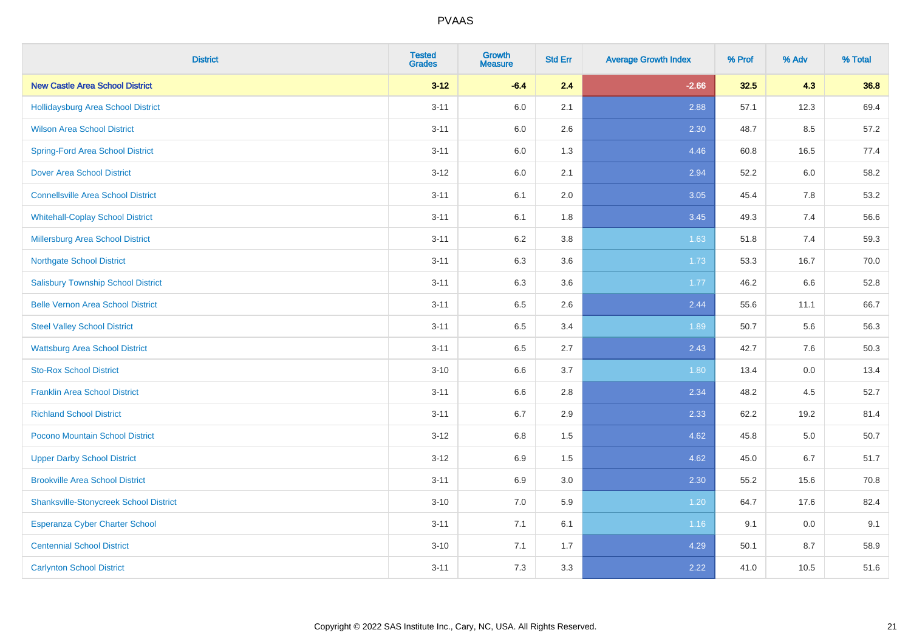| <b>District</b>                               | <b>Tested</b><br><b>Grades</b> | <b>Growth</b><br><b>Measure</b> | <b>Std Err</b> | <b>Average Growth Index</b> | % Prof | % Adv | % Total |
|-----------------------------------------------|--------------------------------|---------------------------------|----------------|-----------------------------|--------|-------|---------|
| <b>New Castle Area School District</b>        | $3 - 12$                       | $-6.4$                          | 2.4            | $-2.66$                     | 32.5   | 4.3   | 36.8    |
| <b>Hollidaysburg Area School District</b>     | $3 - 11$                       | 6.0                             | 2.1            | 2.88                        | 57.1   | 12.3  | 69.4    |
| <b>Wilson Area School District</b>            | $3 - 11$                       | 6.0                             | 2.6            | 2.30                        | 48.7   | 8.5   | 57.2    |
| <b>Spring-Ford Area School District</b>       | $3 - 11$                       | 6.0                             | 1.3            | 4.46                        | 60.8   | 16.5  | 77.4    |
| Dover Area School District                    | $3 - 12$                       | 6.0                             | 2.1            | 2.94                        | 52.2   | 6.0   | 58.2    |
| <b>Connellsville Area School District</b>     | $3 - 11$                       | 6.1                             | 2.0            | 3.05                        | 45.4   | 7.8   | 53.2    |
| <b>Whitehall-Coplay School District</b>       | $3 - 11$                       | 6.1                             | 1.8            | 3.45                        | 49.3   | 7.4   | 56.6    |
| <b>Millersburg Area School District</b>       | $3 - 11$                       | 6.2                             | 3.8            | 1.63                        | 51.8   | 7.4   | 59.3    |
| <b>Northgate School District</b>              | $3 - 11$                       | 6.3                             | 3.6            | 1.73                        | 53.3   | 16.7  | 70.0    |
| <b>Salisbury Township School District</b>     | $3 - 11$                       | 6.3                             | 3.6            | 1.77                        | 46.2   | 6.6   | 52.8    |
| <b>Belle Vernon Area School District</b>      | $3 - 11$                       | 6.5                             | 2.6            | 2.44                        | 55.6   | 11.1  | 66.7    |
| <b>Steel Valley School District</b>           | $3 - 11$                       | 6.5                             | 3.4            | 1.89                        | 50.7   | 5.6   | 56.3    |
| <b>Wattsburg Area School District</b>         | $3 - 11$                       | $6.5\,$                         | 2.7            | 2.43                        | 42.7   | 7.6   | 50.3    |
| <b>Sto-Rox School District</b>                | $3 - 10$                       | 6.6                             | 3.7            | 1.80                        | 13.4   | 0.0   | 13.4    |
| <b>Franklin Area School District</b>          | $3 - 11$                       | 6.6                             | 2.8            | 2.34                        | 48.2   | 4.5   | 52.7    |
| <b>Richland School District</b>               | $3 - 11$                       | 6.7                             | 2.9            | 2.33                        | 62.2   | 19.2  | 81.4    |
| Pocono Mountain School District               | $3 - 12$                       | 6.8                             | 1.5            | 4.62                        | 45.8   | 5.0   | 50.7    |
| <b>Upper Darby School District</b>            | $3 - 12$                       | 6.9                             | 1.5            | 4.62                        | 45.0   | 6.7   | 51.7    |
| <b>Brookville Area School District</b>        | $3 - 11$                       | 6.9                             | 3.0            | 2.30                        | 55.2   | 15.6  | 70.8    |
| <b>Shanksville-Stonycreek School District</b> | $3 - 10$                       | 7.0                             | 5.9            | 1.20                        | 64.7   | 17.6  | 82.4    |
| Esperanza Cyber Charter School                | $3 - 11$                       | 7.1                             | 6.1            | 1.16                        | 9.1    | 0.0   | 9.1     |
| <b>Centennial School District</b>             | $3 - 10$                       | 7.1                             | 1.7            | 4.29                        | 50.1   | 8.7   | 58.9    |
| <b>Carlynton School District</b>              | $3 - 11$                       | 7.3                             | 3.3            | 2.22                        | 41.0   | 10.5  | 51.6    |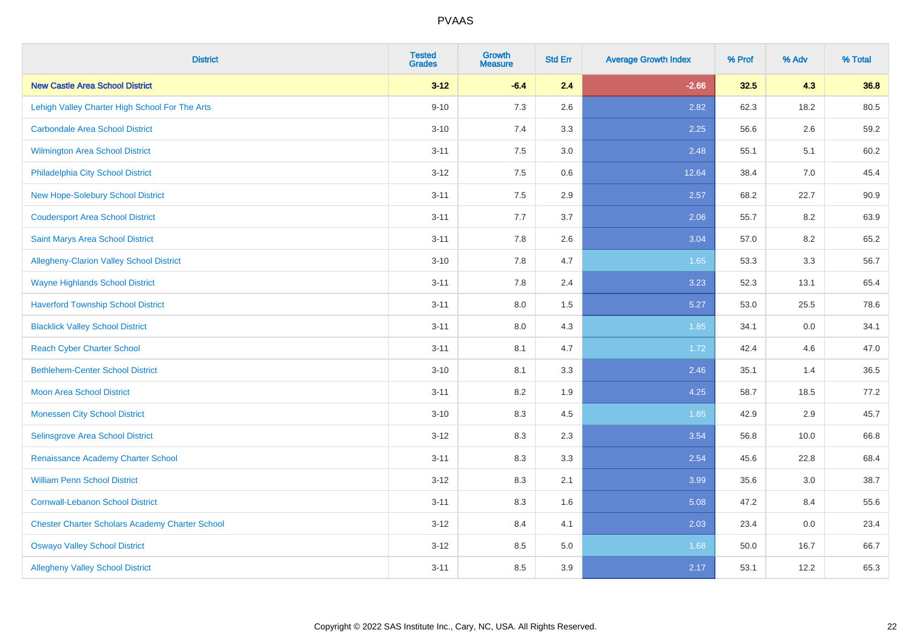| <b>District</b>                                        | <b>Tested</b><br><b>Grades</b> | <b>Growth</b><br><b>Measure</b> | <b>Std Err</b> | <b>Average Growth Index</b> | % Prof | % Adv | % Total |
|--------------------------------------------------------|--------------------------------|---------------------------------|----------------|-----------------------------|--------|-------|---------|
| <b>New Castle Area School District</b>                 | $3 - 12$                       | $-6.4$                          | 2.4            | $-2.66$                     | 32.5   | 4.3   | 36.8    |
| Lehigh Valley Charter High School For The Arts         | $9 - 10$                       | 7.3                             | 2.6            | 2.82                        | 62.3   | 18.2  | 80.5    |
| <b>Carbondale Area School District</b>                 | $3 - 10$                       | 7.4                             | 3.3            | 2.25                        | 56.6   | 2.6   | 59.2    |
| <b>Wilmington Area School District</b>                 | $3 - 11$                       | 7.5                             | 3.0            | 2.48                        | 55.1   | 5.1   | 60.2    |
| Philadelphia City School District                      | $3 - 12$                       | 7.5                             | 0.6            | 12.64                       | 38.4   | 7.0   | 45.4    |
| New Hope-Solebury School District                      | $3 - 11$                       | 7.5                             | 2.9            | 2.57                        | 68.2   | 22.7  | 90.9    |
| <b>Coudersport Area School District</b>                | $3 - 11$                       | 7.7                             | 3.7            | 2.06                        | 55.7   | 8.2   | 63.9    |
| <b>Saint Marys Area School District</b>                | $3 - 11$                       | 7.8                             | 2.6            | 3.04                        | 57.0   | 8.2   | 65.2    |
| Allegheny-Clarion Valley School District               | $3 - 10$                       | 7.8                             | 4.7            | 1.65                        | 53.3   | 3.3   | 56.7    |
| <b>Wayne Highlands School District</b>                 | $3 - 11$                       | 7.8                             | 2.4            | 3.23                        | 52.3   | 13.1  | 65.4    |
| <b>Haverford Township School District</b>              | $3 - 11$                       | 8.0                             | 1.5            | 5.27                        | 53.0   | 25.5  | 78.6    |
| <b>Blacklick Valley School District</b>                | $3 - 11$                       | 8.0                             | 4.3            | 1.85                        | 34.1   | 0.0   | 34.1    |
| <b>Reach Cyber Charter School</b>                      | $3 - 11$                       | 8.1                             | 4.7            | 1.72                        | 42.4   | 4.6   | 47.0    |
| <b>Bethlehem-Center School District</b>                | $3 - 10$                       | 8.1                             | 3.3            | 2.46                        | 35.1   | 1.4   | 36.5    |
| <b>Moon Area School District</b>                       | $3 - 11$                       | 8.2                             | 1.9            | 4.25                        | 58.7   | 18.5  | 77.2    |
| <b>Monessen City School District</b>                   | $3 - 10$                       | 8.3                             | 4.5            | 1.85                        | 42.9   | 2.9   | 45.7    |
| Selinsgrove Area School District                       | $3 - 12$                       | 8.3                             | 2.3            | 3.54                        | 56.8   | 10.0  | 66.8    |
| Renaissance Academy Charter School                     | $3 - 11$                       | 8.3                             | 3.3            | 2.54                        | 45.6   | 22.8  | 68.4    |
| <b>William Penn School District</b>                    | $3 - 12$                       | 8.3                             | 2.1            | 3.99                        | 35.6   | 3.0   | 38.7    |
| <b>Cornwall-Lebanon School District</b>                | $3 - 11$                       | 8.3                             | 1.6            | 5.08                        | 47.2   | 8.4   | 55.6    |
| <b>Chester Charter Scholars Academy Charter School</b> | $3 - 12$                       | 8.4                             | 4.1            | 2.03                        | 23.4   | 0.0   | 23.4    |
| <b>Oswayo Valley School District</b>                   | $3 - 12$                       | 8.5                             | 5.0            | 1.68                        | 50.0   | 16.7  | 66.7    |
| <b>Allegheny Valley School District</b>                | $3 - 11$                       | 8.5                             | 3.9            | 2.17                        | 53.1   | 12.2  | 65.3    |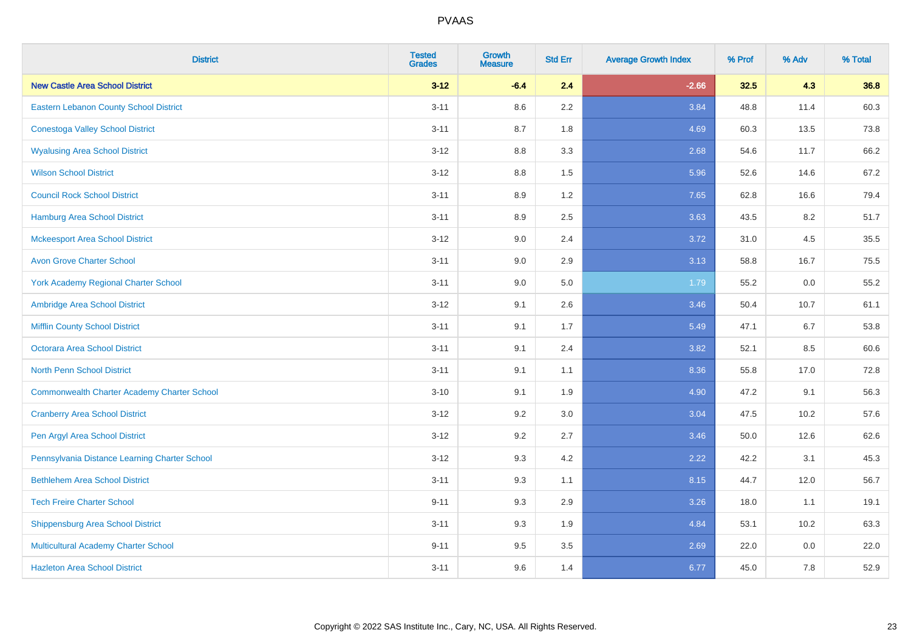| <b>District</b>                                    | <b>Tested</b><br><b>Grades</b> | <b>Growth</b><br><b>Measure</b> | <b>Std Err</b> | <b>Average Growth Index</b> | % Prof | % Adv   | % Total |
|----------------------------------------------------|--------------------------------|---------------------------------|----------------|-----------------------------|--------|---------|---------|
| <b>New Castle Area School District</b>             | $3 - 12$                       | $-6.4$                          | 2.4            | $-2.66$                     | 32.5   | 4.3     | 36.8    |
| Eastern Lebanon County School District             | $3 - 11$                       | 8.6                             | 2.2            | 3.84                        | 48.8   | 11.4    | 60.3    |
| <b>Conestoga Valley School District</b>            | $3 - 11$                       | 8.7                             | 1.8            | 4.69                        | 60.3   | 13.5    | 73.8    |
| <b>Wyalusing Area School District</b>              | $3-12$                         | 8.8                             | 3.3            | 2.68                        | 54.6   | 11.7    | 66.2    |
| <b>Wilson School District</b>                      | $3-12$                         | 8.8                             | 1.5            | 5.96                        | 52.6   | 14.6    | 67.2    |
| <b>Council Rock School District</b>                | $3 - 11$                       | 8.9                             | 1.2            | 7.65                        | 62.8   | 16.6    | 79.4    |
| <b>Hamburg Area School District</b>                | $3 - 11$                       | 8.9                             | 2.5            | 3.63                        | 43.5   | 8.2     | 51.7    |
| <b>Mckeesport Area School District</b>             | $3-12$                         | 9.0                             | 2.4            | 3.72                        | 31.0   | 4.5     | 35.5    |
| <b>Avon Grove Charter School</b>                   | $3 - 11$                       | 9.0                             | 2.9            | 3.13                        | 58.8   | 16.7    | 75.5    |
| <b>York Academy Regional Charter School</b>        | $3 - 11$                       | 9.0                             | 5.0            | 1.79                        | 55.2   | 0.0     | 55.2    |
| Ambridge Area School District                      | $3 - 12$                       | 9.1                             | 2.6            | 3.46                        | 50.4   | 10.7    | 61.1    |
| <b>Mifflin County School District</b>              | $3 - 11$                       | 9.1                             | 1.7            | 5.49                        | 47.1   | 6.7     | 53.8    |
| Octorara Area School District                      | $3 - 11$                       | 9.1                             | 2.4            | 3.82                        | 52.1   | 8.5     | 60.6    |
| <b>North Penn School District</b>                  | $3 - 11$                       | 9.1                             | 1.1            | 8.36                        | 55.8   | 17.0    | 72.8    |
| <b>Commonwealth Charter Academy Charter School</b> | $3 - 10$                       | 9.1                             | 1.9            | 4.90                        | 47.2   | 9.1     | 56.3    |
| <b>Cranberry Area School District</b>              | $3 - 12$                       | 9.2                             | 3.0            | 3.04                        | 47.5   | 10.2    | 57.6    |
| Pen Argyl Area School District                     | $3 - 12$                       | 9.2                             | 2.7            | 3.46                        | 50.0   | 12.6    | 62.6    |
| Pennsylvania Distance Learning Charter School      | $3-12$                         | 9.3                             | 4.2            | 2.22                        | 42.2   | 3.1     | 45.3    |
| <b>Bethlehem Area School District</b>              | $3 - 11$                       | 9.3                             | 1.1            | 8.15                        | 44.7   | 12.0    | 56.7    |
| <b>Tech Freire Charter School</b>                  | $9 - 11$                       | 9.3                             | 2.9            | 3.26                        | 18.0   | 1.1     | 19.1    |
| <b>Shippensburg Area School District</b>           | $3 - 11$                       | 9.3                             | 1.9            | 4.84                        | 53.1   | 10.2    | 63.3    |
| Multicultural Academy Charter School               | $9 - 11$                       | 9.5                             | 3.5            | 2.69                        | 22.0   | $0.0\,$ | 22.0    |
| <b>Hazleton Area School District</b>               | $3 - 11$                       | 9.6                             | 1.4            | 6.77                        | 45.0   | 7.8     | 52.9    |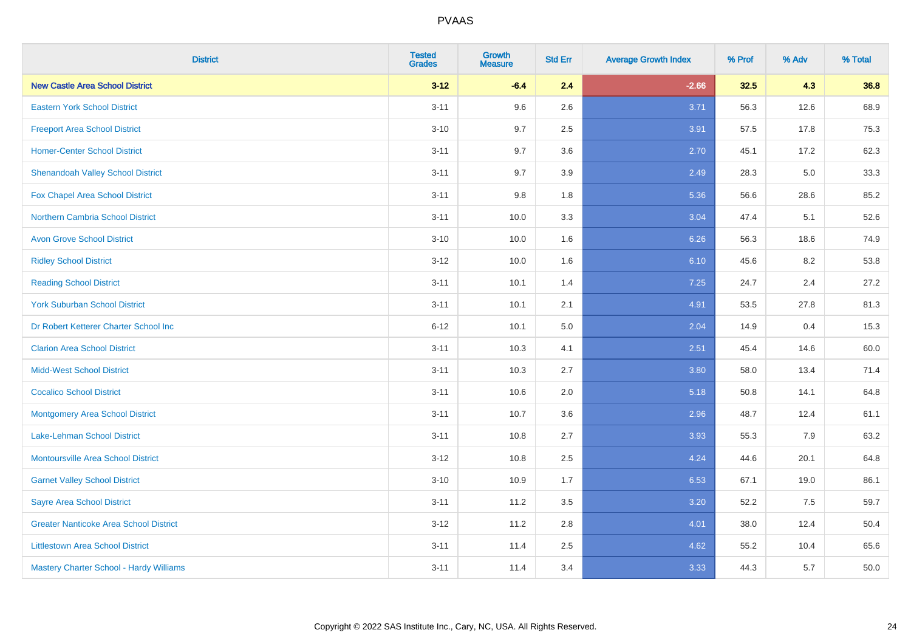| <b>District</b>                               | <b>Tested</b><br><b>Grades</b> | Growth<br><b>Measure</b> | <b>Std Err</b> | <b>Average Growth Index</b> | % Prof | % Adv   | % Total |
|-----------------------------------------------|--------------------------------|--------------------------|----------------|-----------------------------|--------|---------|---------|
| <b>New Castle Area School District</b>        | $3 - 12$                       | $-6.4$                   | 2.4            | $-2.66$                     | 32.5   | 4.3     | 36.8    |
| <b>Eastern York School District</b>           | $3 - 11$                       | 9.6                      | 2.6            | 3.71                        | 56.3   | 12.6    | 68.9    |
| <b>Freeport Area School District</b>          | $3 - 10$                       | 9.7                      | 2.5            | 3.91                        | 57.5   | 17.8    | 75.3    |
| <b>Homer-Center School District</b>           | $3 - 11$                       | 9.7                      | 3.6            | 2.70                        | 45.1   | 17.2    | 62.3    |
| <b>Shenandoah Valley School District</b>      | $3 - 11$                       | 9.7                      | 3.9            | 2.49                        | 28.3   | 5.0     | 33.3    |
| Fox Chapel Area School District               | $3 - 11$                       | 9.8                      | 1.8            | 5.36                        | 56.6   | 28.6    | 85.2    |
| Northern Cambria School District              | $3 - 11$                       | 10.0                     | 3.3            | 3.04                        | 47.4   | 5.1     | 52.6    |
| <b>Avon Grove School District</b>             | $3 - 10$                       | 10.0                     | 1.6            | 6.26                        | 56.3   | 18.6    | 74.9    |
| <b>Ridley School District</b>                 | $3 - 12$                       | 10.0                     | 1.6            | 6.10                        | 45.6   | 8.2     | 53.8    |
| <b>Reading School District</b>                | $3 - 11$                       | 10.1                     | 1.4            | 7.25                        | 24.7   | $2.4\,$ | 27.2    |
| <b>York Suburban School District</b>          | $3 - 11$                       | 10.1                     | 2.1            | 4.91                        | 53.5   | 27.8    | 81.3    |
| Dr Robert Ketterer Charter School Inc         | $6 - 12$                       | 10.1                     | 5.0            | 2.04                        | 14.9   | 0.4     | 15.3    |
| <b>Clarion Area School District</b>           | $3 - 11$                       | 10.3                     | 4.1            | 2.51                        | 45.4   | 14.6    | 60.0    |
| <b>Midd-West School District</b>              | $3 - 11$                       | 10.3                     | 2.7            | 3.80                        | 58.0   | 13.4    | 71.4    |
| <b>Cocalico School District</b>               | $3 - 11$                       | 10.6                     | 2.0            | 5.18                        | 50.8   | 14.1    | 64.8    |
| <b>Montgomery Area School District</b>        | $3 - 11$                       | 10.7                     | 3.6            | 2.96                        | 48.7   | 12.4    | 61.1    |
| Lake-Lehman School District                   | $3 - 11$                       | 10.8                     | 2.7            | 3.93                        | 55.3   | 7.9     | 63.2    |
| <b>Montoursville Area School District</b>     | $3 - 12$                       | 10.8                     | 2.5            | 4.24                        | 44.6   | 20.1    | 64.8    |
| <b>Garnet Valley School District</b>          | $3 - 10$                       | 10.9                     | 1.7            | 6.53                        | 67.1   | 19.0    | 86.1    |
| <b>Sayre Area School District</b>             | $3 - 11$                       | 11.2                     | 3.5            | 3.20                        | 52.2   | 7.5     | 59.7    |
| <b>Greater Nanticoke Area School District</b> | $3 - 12$                       | 11.2                     | 2.8            | 4.01                        | 38.0   | 12.4    | 50.4    |
| <b>Littlestown Area School District</b>       | $3 - 11$                       | 11.4                     | 2.5            | 4.62                        | 55.2   | 10.4    | 65.6    |
| Mastery Charter School - Hardy Williams       | $3 - 11$                       | 11.4                     | 3.4            | 3.33                        | 44.3   | 5.7     | 50.0    |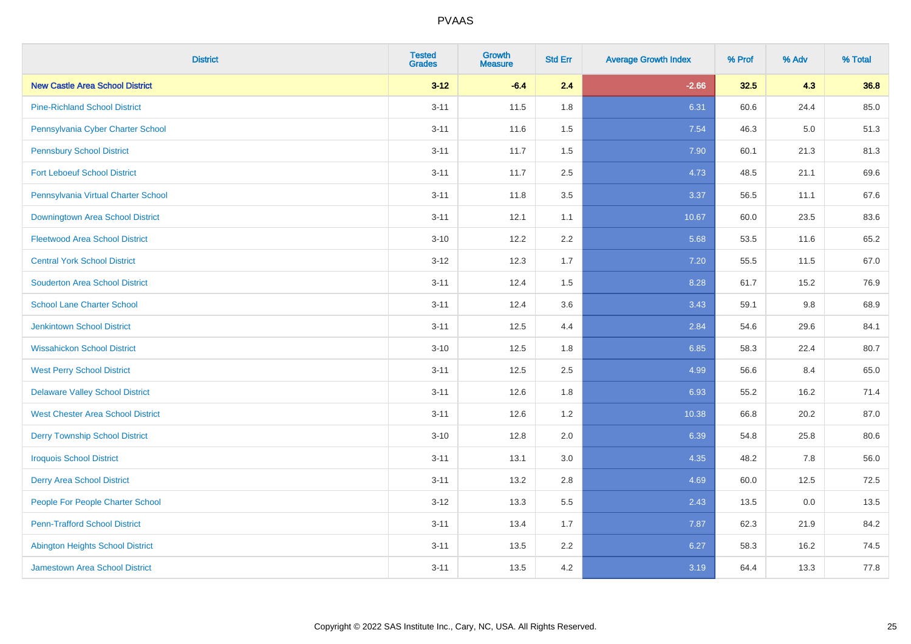| <b>District</b>                          | <b>Tested</b><br><b>Grades</b> | Growth<br><b>Measure</b> | <b>Std Err</b> | <b>Average Growth Index</b> | % Prof | % Adv   | % Total |
|------------------------------------------|--------------------------------|--------------------------|----------------|-----------------------------|--------|---------|---------|
| <b>New Castle Area School District</b>   | $3 - 12$                       | $-6.4$                   | 2.4            | $-2.66$                     | 32.5   | 4.3     | 36.8    |
| <b>Pine-Richland School District</b>     | $3 - 11$                       | 11.5                     | 1.8            | 6.31                        | 60.6   | 24.4    | 85.0    |
| Pennsylvania Cyber Charter School        | $3 - 11$                       | 11.6                     | 1.5            | 7.54                        | 46.3   | $5.0\,$ | 51.3    |
| <b>Pennsbury School District</b>         | $3 - 11$                       | 11.7                     | 1.5            | 7.90                        | 60.1   | 21.3    | 81.3    |
| <b>Fort Leboeuf School District</b>      | $3 - 11$                       | 11.7                     | 2.5            | 4.73                        | 48.5   | 21.1    | 69.6    |
| Pennsylvania Virtual Charter School      | $3 - 11$                       | 11.8                     | 3.5            | 3.37                        | 56.5   | 11.1    | 67.6    |
| Downingtown Area School District         | $3 - 11$                       | 12.1                     | 1.1            | 10.67                       | 60.0   | 23.5    | 83.6    |
| <b>Fleetwood Area School District</b>    | $3 - 10$                       | 12.2                     | 2.2            | 5.68                        | 53.5   | 11.6    | 65.2    |
| <b>Central York School District</b>      | $3 - 12$                       | 12.3                     | 1.7            | 7.20                        | 55.5   | 11.5    | 67.0    |
| <b>Souderton Area School District</b>    | $3 - 11$                       | 12.4                     | 1.5            | 8.28                        | 61.7   | 15.2    | 76.9    |
| <b>School Lane Charter School</b>        | $3 - 11$                       | 12.4                     | 3.6            | 3.43                        | 59.1   | 9.8     | 68.9    |
| <b>Jenkintown School District</b>        | $3 - 11$                       | 12.5                     | 4.4            | 2.84                        | 54.6   | 29.6    | 84.1    |
| <b>Wissahickon School District</b>       | $3 - 10$                       | 12.5                     | 1.8            | 6.85                        | 58.3   | 22.4    | 80.7    |
| <b>West Perry School District</b>        | $3 - 11$                       | 12.5                     | 2.5            | 4.99                        | 56.6   | 8.4     | 65.0    |
| <b>Delaware Valley School District</b>   | $3 - 11$                       | 12.6                     | 1.8            | 6.93                        | 55.2   | 16.2    | 71.4    |
| <b>West Chester Area School District</b> | $3 - 11$                       | 12.6                     | 1.2            | 10.38                       | 66.8   | 20.2    | 87.0    |
| <b>Derry Township School District</b>    | $3 - 10$                       | 12.8                     | 2.0            | 6.39                        | 54.8   | 25.8    | 80.6    |
| <b>Iroquois School District</b>          | $3 - 11$                       | 13.1                     | 3.0            | 4.35                        | 48.2   | 7.8     | 56.0    |
| <b>Derry Area School District</b>        | $3 - 11$                       | 13.2                     | 2.8            | 4.69                        | 60.0   | 12.5    | 72.5    |
| People For People Charter School         | $3 - 12$                       | 13.3                     | 5.5            | 2.43                        | 13.5   | 0.0     | 13.5    |
| <b>Penn-Trafford School District</b>     | $3 - 11$                       | 13.4                     | 1.7            | 7.87                        | 62.3   | 21.9    | 84.2    |
| <b>Abington Heights School District</b>  | $3 - 11$                       | 13.5                     | 2.2            | 6.27                        | 58.3   | 16.2    | 74.5    |
| <b>Jamestown Area School District</b>    | $3 - 11$                       | 13.5                     | 4.2            | 3.19                        | 64.4   | 13.3    | 77.8    |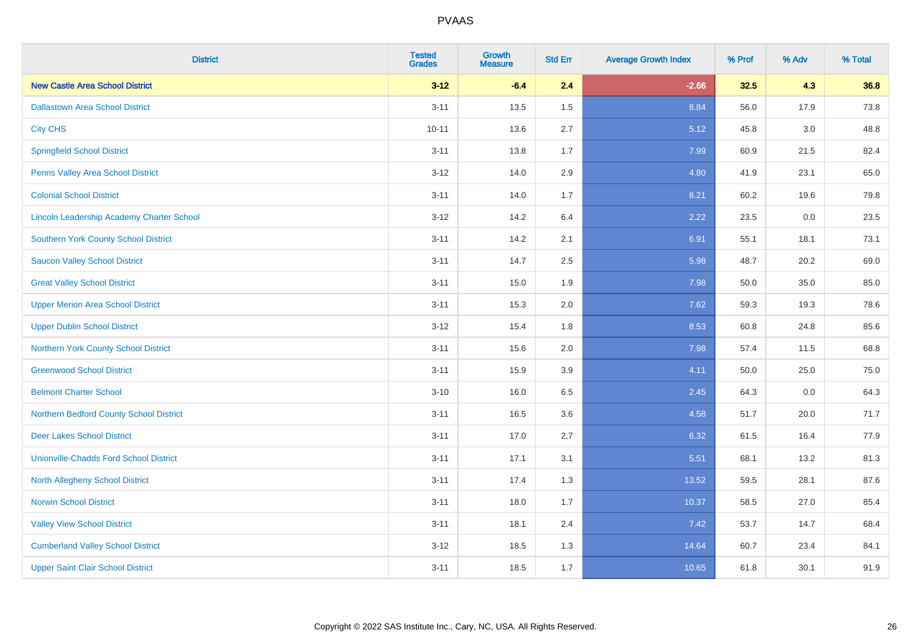| <b>District</b>                                  | <b>Tested</b><br><b>Grades</b> | <b>Growth</b><br><b>Measure</b> | <b>Std Err</b> | <b>Average Growth Index</b> | % Prof | % Adv   | % Total |
|--------------------------------------------------|--------------------------------|---------------------------------|----------------|-----------------------------|--------|---------|---------|
| <b>New Castle Area School District</b>           | $3 - 12$                       | $-6.4$                          | 2.4            | $-2.66$                     | 32.5   | 4.3     | 36.8    |
| <b>Dallastown Area School District</b>           | $3 - 11$                       | 13.5                            | 1.5            | 8.84                        | 56.0   | 17.9    | 73.8    |
| <b>City CHS</b>                                  | $10 - 11$                      | 13.6                            | 2.7            | 5.12                        | 45.8   | 3.0     | 48.8    |
| <b>Springfield School District</b>               | $3 - 11$                       | 13.8                            | 1.7            | 7.99                        | 60.9   | 21.5    | 82.4    |
| Penns Valley Area School District                | $3 - 12$                       | 14.0                            | 2.9            | 4.80                        | 41.9   | 23.1    | 65.0    |
| <b>Colonial School District</b>                  | $3 - 11$                       | 14.0                            | 1.7            | 8.21                        | 60.2   | 19.6    | 79.8    |
| <b>Lincoln Leadership Academy Charter School</b> | $3 - 12$                       | 14.2                            | 6.4            | 2.22                        | 23.5   | $0.0\,$ | 23.5    |
| <b>Southern York County School District</b>      | $3 - 11$                       | 14.2                            | 2.1            | 6.91                        | 55.1   | 18.1    | 73.1    |
| <b>Saucon Valley School District</b>             | $3 - 11$                       | 14.7                            | 2.5            | 5.98                        | 48.7   | 20.2    | 69.0    |
| <b>Great Valley School District</b>              | $3 - 11$                       | 15.0                            | 1.9            | 7.98                        | 50.0   | 35.0    | 85.0    |
| <b>Upper Merion Area School District</b>         | $3 - 11$                       | 15.3                            | 2.0            | 7.62                        | 59.3   | 19.3    | 78.6    |
| <b>Upper Dublin School District</b>              | $3 - 12$                       | 15.4                            | 1.8            | 8.53                        | 60.8   | 24.8    | 85.6    |
| Northern York County School District             | $3 - 11$                       | 15.6                            | 2.0            | 7.98                        | 57.4   | 11.5    | 68.8    |
| <b>Greenwood School District</b>                 | $3 - 11$                       | 15.9                            | 3.9            | 4.11                        | 50.0   | 25.0    | 75.0    |
| <b>Belmont Charter School</b>                    | $3 - 10$                       | 16.0                            | 6.5            | 2.45                        | 64.3   | 0.0     | 64.3    |
| Northern Bedford County School District          | $3 - 11$                       | 16.5                            | 3.6            | 4.58                        | 51.7   | 20.0    | 71.7    |
| <b>Deer Lakes School District</b>                | $3 - 11$                       | 17.0                            | 2.7            | 6.32                        | 61.5   | 16.4    | 77.9    |
| <b>Unionville-Chadds Ford School District</b>    | $3 - 11$                       | 17.1                            | 3.1            | 5.51                        | 68.1   | 13.2    | 81.3    |
| <b>North Allegheny School District</b>           | $3 - 11$                       | 17.4                            | 1.3            | 13.52                       | 59.5   | 28.1    | 87.6    |
| <b>Norwin School District</b>                    | $3 - 11$                       | 18.0                            | 1.7            | 10.37                       | 58.5   | 27.0    | 85.4    |
| <b>Valley View School District</b>               | $3 - 11$                       | 18.1                            | 2.4            | 7.42                        | 53.7   | 14.7    | 68.4    |
| <b>Cumberland Valley School District</b>         | $3 - 12$                       | 18.5                            | 1.3            | 14.64                       | 60.7   | 23.4    | 84.1    |
| <b>Upper Saint Clair School District</b>         | $3 - 11$                       | 18.5                            | 1.7            | 10.65                       | 61.8   | 30.1    | 91.9    |